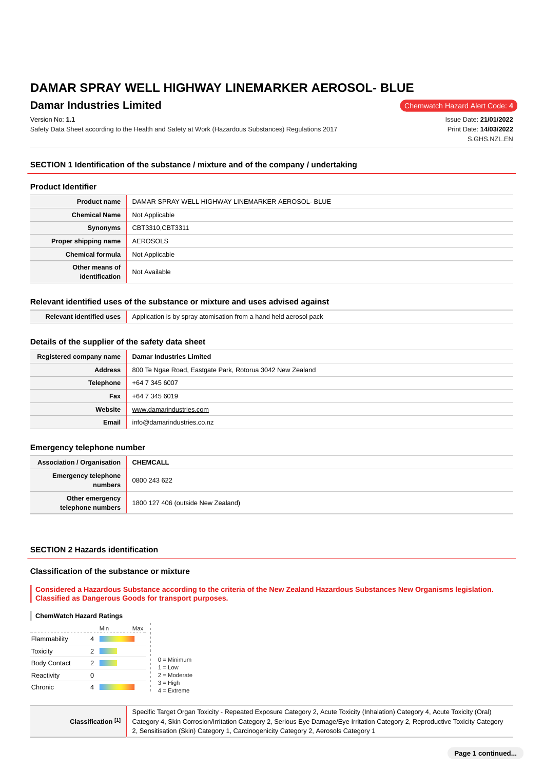# **Damar Industries Limited** Chemwatch Hazard Alert Code: 4

#### Version No: **1.1**

Safety Data Sheet according to the Health and Safety at Work (Hazardous Substances) Regulations 2017

Issue Date: **21/01/2022** Print Date: **14/03/2022** S.GHS.NZL.EN

## **SECTION 1 Identification of the substance / mixture and of the company / undertaking**

#### **Product Identifier**

| <b>Product name</b>              | DAMAR SPRAY WELL HIGHWAY LINEMARKER AEROSOL- BLUE |  |  |
|----------------------------------|---------------------------------------------------|--|--|
| <b>Chemical Name</b>             | Not Applicable                                    |  |  |
| Synonyms                         | CBT3310,CBT3311                                   |  |  |
| Proper shipping name             | AEROSOLS                                          |  |  |
| <b>Chemical formula</b>          | Not Applicable                                    |  |  |
| Other means of<br>identification | Not Available                                     |  |  |

#### **Relevant identified uses of the substance or mixture and uses advised against**

| <b>USO</b> | Application is by spray atomisation from a hand<br>pack<br>d held aerosol |
|------------|---------------------------------------------------------------------------|
|------------|---------------------------------------------------------------------------|

### **Details of the supplier of the safety data sheet**

| Registered company name | <b>Damar Industries Limited</b>                           |  |
|-------------------------|-----------------------------------------------------------|--|
| <b>Address</b>          | 800 Te Ngae Road, Eastgate Park, Rotorua 3042 New Zealand |  |
| Telephone               | +64 7 345 6007                                            |  |
| <b>Fax</b>              | +64 7 345 6019                                            |  |
| Website                 | www.damarindustries.com                                   |  |
| Email                   | info@damarindustries.co.nz                                |  |

#### **Emergency telephone number**

| <b>Association / Organisation</b>     | <b>CHEMCALL</b>                    |
|---------------------------------------|------------------------------------|
| <b>Emergency telephone</b><br>numbers | 0800 243 622                       |
| Other emergency<br>telephone numbers  | 1800 127 406 (outside New Zealand) |

### **SECTION 2 Hazards identification**

#### **Classification of the substance or mixture**

**Considered a Hazardous Substance according to the criteria of the New Zealand Hazardous Substances New Organisms legislation. Classified as Dangerous Goods for transport purposes.**

#### **ChemWatch Hazard Ratings**

|                     |   | Min | Max |                                                                             |
|---------------------|---|-----|-----|-----------------------------------------------------------------------------|
| Flammability        |   |     |     |                                                                             |
| Toxicity            | 2 |     |     |                                                                             |
| <b>Body Contact</b> | 2 |     |     | $0 =$ Minimum<br>$1 = Low$<br>$2 =$ Moderate<br>$3 = High$<br>$4 =$ Extreme |
| Reactivity          |   |     |     |                                                                             |
| Chronic             |   |     |     |                                                                             |

**Classification [1]** Specific Target Organ Toxicity - Repeated Exposure Category 2, Acute Toxicity (Inhalation) Category 4, Acute Toxicity (Oral) Category 4, Skin Corrosion/Irritation Category 2, Serious Eye Damage/Eye Irritation Category 2, Reproductive Toxicity Category 2, Sensitisation (Skin) Category 1, Carcinogenicity Category 2, Aerosols Category 1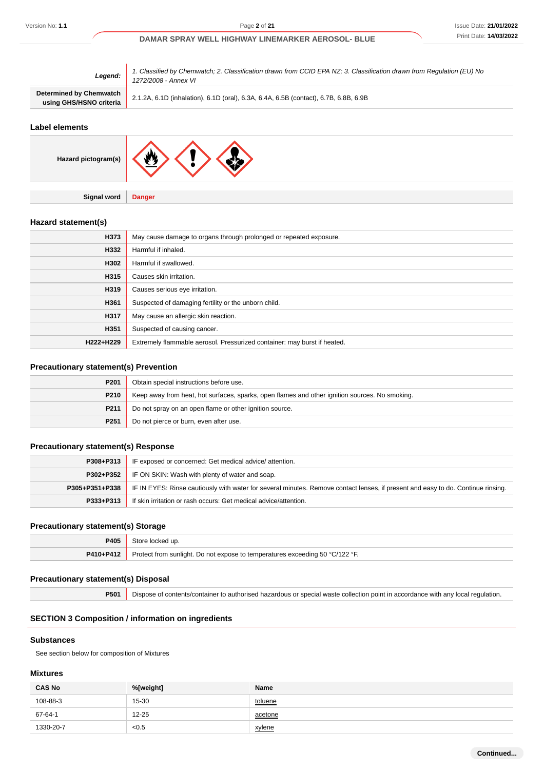| Legend:                                            | 1. Classified by Chemwatch; 2. Classification drawn from CCID EPA NZ; 3. Classification drawn from Regulation (EU) No<br>1272/2008 - Annex VI |  |
|----------------------------------------------------|-----------------------------------------------------------------------------------------------------------------------------------------------|--|
| Determined by Chemwatch<br>using GHS/HSNO criteria | 2.1.2A, 6.1D (inhalation), 6.1D (oral), 6.3A, 6.4A, 6.5B (contact), 6.7B, 6.8B, 6.9B                                                          |  |

#### **Label elements**

| Hazard pictogram(s) | J.            |
|---------------------|---------------|
|                     |               |
| Signal word         | <b>Danger</b> |

### **Hazard statement(s)**

| H373      | May cause damage to organs through prolonged or repeated exposure.       |  |
|-----------|--------------------------------------------------------------------------|--|
| H332      | Harmful if inhaled.                                                      |  |
| H302      | Harmful if swallowed.                                                    |  |
| H315      | Causes skin irritation.                                                  |  |
| H319      | Causes serious eye irritation.                                           |  |
| H361      | Suspected of damaging fertility or the unborn child.                     |  |
| H317      | May cause an allergic skin reaction.                                     |  |
| H351      | Suspected of causing cancer.                                             |  |
| H222+H229 | Extremely flammable aerosol. Pressurized container: may burst if heated. |  |

### **Precautionary statement(s) Prevention**

| P201             | Obtain special instructions before use.                                                        |  |
|------------------|------------------------------------------------------------------------------------------------|--|
| P210             | Keep away from heat, hot surfaces, sparks, open flames and other ignition sources. No smoking. |  |
| P <sub>211</sub> | Do not spray on an open flame or other ignition source.                                        |  |
| P <sub>251</sub> | Do not pierce or burn, even after use.                                                         |  |
|                  |                                                                                                |  |

### **Precautionary statement(s) Response**

| P308+P313      | IF exposed or concerned: Get medical advice/attention.                                                                           |  |  |
|----------------|----------------------------------------------------------------------------------------------------------------------------------|--|--|
| P302+P352      | IF ON SKIN: Wash with plenty of water and soap.                                                                                  |  |  |
| P305+P351+P338 | IF IN EYES: Rinse cautiously with water for several minutes. Remove contact lenses, if present and easy to do. Continue rinsing. |  |  |
| P333+P313      | If skin irritation or rash occurs: Get medical advice/attention.                                                                 |  |  |

### **Precautionary statement(s) Storage**

| <b>P405</b> | Store locked up.                                                             |
|-------------|------------------------------------------------------------------------------|
| P410+P412   | Protect from sunlight. Do not expose to temperatures exceeding 50 °C/122 °F. |

#### **Precautionary statement(s) Disposal**

**P501** Dispose of contents/container to authorised hazardous or special waste collection point in accordance with any local regulation.

### **SECTION 3 Composition / information on ingredients**

### **Substances**

See section below for composition of Mixtures

#### **Mixtures**

| <b>CAS No</b> | %[weight] | Name    |
|---------------|-----------|---------|
| 108-88-3      | 15-30     | toluene |
| 67-64-1       | $12 - 25$ | acetone |
| 1330-20-7     | < 0.5     | xylene  |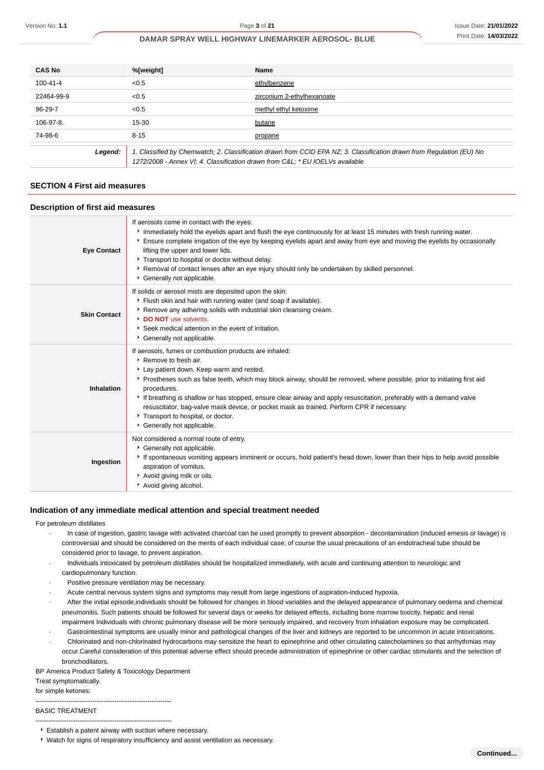| <b>CAS No</b>                                                                                                                                                                                                    | %[weight] | <b>Name</b>                |
|------------------------------------------------------------------------------------------------------------------------------------------------------------------------------------------------------------------|-----------|----------------------------|
| 100-41-4                                                                                                                                                                                                         | < 0.5     | ethylbenzene               |
| 22464-99-9                                                                                                                                                                                                       | < 0.5     | zirconium 2-ethylhexanoate |
| 96-29-7                                                                                                                                                                                                          | < 0.5     | methyl ethyl ketoxime      |
| 106-97-8.                                                                                                                                                                                                        | 15-30     | butane                     |
| 74-98-6                                                                                                                                                                                                          | $8 - 15$  | propane                    |
| 1. Classified by Chemwatch; 2. Classification drawn from CCID EPA NZ; 3. Classification drawn from Regulation (EU) No<br>Legend:<br>1272/2008 - Annex VI; 4. Classification drawn from C&L * EU IOELVs available |           |                            |

### **SECTION 4 First aid measures**

#### **Description of first aid measures**

| <b>Eye Contact</b>  | If aerosols come in contact with the eyes:<br>Immediately hold the eyelids apart and flush the eye continuously for at least 15 minutes with fresh running water.<br>Ensure complete irrigation of the eye by keeping eyelids apart and away from eye and moving the eyelids by occasionally<br>lifting the upper and lower lids.<br>Transport to hospital or doctor without delay.<br>▶ Removal of contact lenses after an eye injury should only be undertaken by skilled personnel.<br>Generally not applicable.                                            |
|---------------------|----------------------------------------------------------------------------------------------------------------------------------------------------------------------------------------------------------------------------------------------------------------------------------------------------------------------------------------------------------------------------------------------------------------------------------------------------------------------------------------------------------------------------------------------------------------|
| <b>Skin Contact</b> | If solids or aerosol mists are deposited upon the skin:<br>Flush skin and hair with running water (and soap if available).<br>▶ Remove any adhering solids with industrial skin cleansing cream.<br>DO NOT use solvents.<br>▶ Seek medical attention in the event of irritation.<br>Cenerally not applicable.                                                                                                                                                                                                                                                  |
| Inhalation          | If aerosols, fumes or combustion products are inhaled:<br>▶ Remove to fresh air.<br>Lay patient down. Keep warm and rested.<br>▶ Prostheses such as false teeth, which may block airway, should be removed, where possible, prior to initiating first aid<br>procedures.<br>If breathing is shallow or has stopped, ensure clear airway and apply resuscitation, preferably with a demand valve<br>resuscitator, bag-valve mask device, or pocket mask as trained. Perform CPR if necessary.<br>Transport to hospital, or doctor.<br>Generally not applicable. |
| Ingestion           | Not considered a normal route of entry.<br>Generally not applicable.<br>If spontaneous vomiting appears imminent or occurs, hold patient's head down, lower than their hips to help avoid possible<br>aspiration of vomitus.<br>Avoid giving milk or oils.<br>Avoid giving alcohol.                                                                                                                                                                                                                                                                            |

#### **Indication of any immediate medical attention and special treatment needed**

#### For petroleum distillates

- In case of ingestion, gastric lavage with activated charcoal can be used promptly to prevent absorption decontamination (induced emesis or lavage) is controversial and should be considered on the merits of each individual case; of course the usual precautions of an endotracheal tube should be considered prior to lavage, to prevent aspiration.
- · Individuals intoxicated by petroleum distillates should be hospitalized immediately, with acute and continuing attention to neurologic and cardiopulmonary function.
- Positive pressure ventilation may be necessary.
- Acute central nervous system signs and symptoms may result from large ingestions of aspiration-induced hypoxia.
- After the initial episode,individuals should be followed for changes in blood variables and the delayed appearance of pulmonary oedema and chemical pneumonitis. Such patients should be followed for several days or weeks for delayed effects, including bone marrow toxicity, hepatic and renal impairment Individuals with chronic pulmonary disease will be more seriously impaired, and recovery from inhalation exposure may be complicated.
- Gastrointestinal symptoms are usually minor and pathological changes of the liver and kidneys are reported to be uncommon in acute intoxications. · Chlorinated and non-chlorinated hydrocarbons may sensitize the heart to epinephrine and other circulating catecholamines so that arrhythmias may occur.Careful consideration of this potential adverse effect should precede administration of epinephrine or other cardiac stimulants and the selection of
- bronchodilators.

BP America Product Safety & Toxicology Department

Treat symptomatically.

for simple ketones:

--------------------------------------------------------------

#### BASIC TREATMENT --------------------------------------------------------------

Establish a patent airway with suction where necessary.

Watch for signs of respiratory insufficiency and assist ventilation as necessary.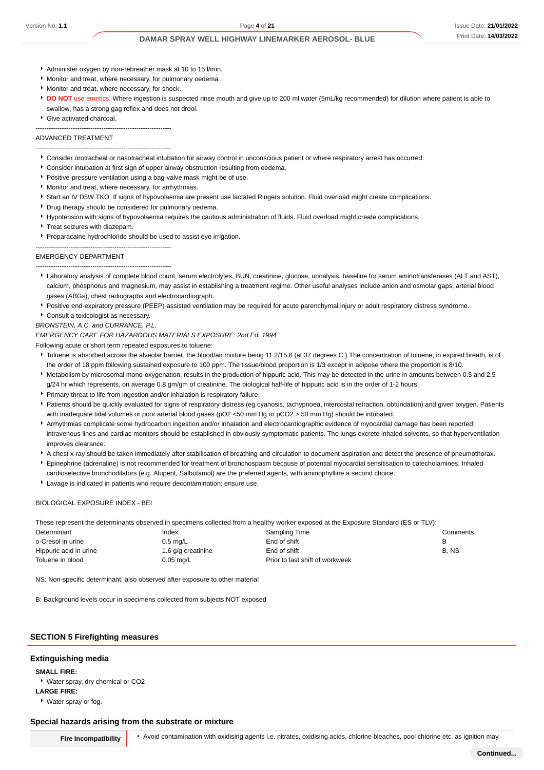- Administer oxygen by non-rebreather mask at 10 to 15 l/min.
- Monitor and treat, where necessary, for pulmonary oedema .
- Monitor and treat, where necessary, for shock.
- **DO NOT** use emetics. Where ingestion is suspected rinse mouth and give up to 200 ml water (5mL/kg recommended) for dilution where patient is able to swallow, has a strong gag reflex and does not drool.
- Give activated charcoal.

#### -------------------------------------------------------------- ADVANCED TREATMENT

--------------------------------------------------------------

- Consider orotracheal or nasotracheal intubation for airway control in unconscious patient or where respiratory arrest has occurred.
- Consider intubation at first sign of upper airway obstruction resulting from oedema.
- Positive-pressure ventilation using a bag-valve mask might be of use.
- **Monitor and treat, where necessary, for arrhythmias.**
- Start an IV D5W TKO. If signs of hypovolaemia are present use lactated Ringers solution. Fluid overload might create complications.
- **Drug therapy should be considered for pulmonary oedema.**
- Hypotension with signs of hypovolaemia requires the cautious administration of fluids. Fluid overload might create complications.
- **Treat seizures with diazepam.**
- **Proparacaine hydrochloride should be used to assist eve irrigation.**

--------------------------------------------------------------

--------------------------------------------------------------

### EMERGENCY DEPARTMENT

- Laboratory analysis of complete blood count, serum electrolytes, BUN, creatinine, glucose, urinalysis, baseline for serum aminotransferases (ALT and AST), calcium, phosphorus and magnesium, may assist in establishing a treatment regime. Other useful analyses include anion and osmolar gaps, arterial blood gases (ABGs), chest radiographs and electrocardiograph.
- Positive end-expiratory pressure (PEEP)-assisted ventilation may be required for acute parenchymal injury or adult respiratory distress syndrome.

Consult a toxicologist as necessary.

BRONSTEIN, A.C. and CURRANCE, P.L.

EMERGENCY CARE FOR HAZARDOUS MATERIALS EXPOSURE: 2nd Ed. 1994

Following acute or short term repeated exposures to toluene:

- Toluene is absorbed across the alveolar barrier, the blood/air mixture being 11.2/15.6 (at 37 degrees C.) The concentration of toluene, in expired breath, is of the order of 18 ppm following sustained exposure to 100 ppm. The tissue/blood proportion is 1/3 except in adipose where the proportion is 8/10.
- Metabolism by microsomal mono-oxygenation, results in the production of hippuric acid. This may be detected in the urine in amounts between 0.5 and 2.5 g/24 hr which represents, on average 0.8 gm/gm of creatinine. The biological half-life of hippuric acid is in the order of 1-2 hours.
- Primary threat to life from ingestion and/or inhalation is respiratory failure.
- Patients should be quickly evaluated for signs of respiratory distress (eg cyanosis, tachypnoea, intercostal retraction, obtundation) and given oxygen. Patients with inadequate tidal volumes or poor arterial blood gases (pO2 <50 mm Hg or pCO2 > 50 mm Hg) should be intubated.
- Arrhythmias complicate some hydrocarbon ingestion and/or inhalation and electrocardiographic evidence of myocardial damage has been reported; intravenous lines and cardiac monitors should be established in obviously symptomatic patients. The lungs excrete inhaled solvents, so that hyperventilation improves clearance.
- A chest x-ray should be taken immediately after stabilisation of breathing and circulation to document aspiration and detect the presence of pneumothorax.
- Epinephrine (adrenaline) is not recommended for treatment of bronchospasm because of potential myocardial sensitisation to catecholamines. Inhaled
- cardioselective bronchodilators (e.g. Alupent, Salbutamol) are the preferred agents, with aminophylline a second choice.
- Lavage is indicated in patients who require decontamination; ensure use.

#### BIOLOGICAL EXPOSURE INDEX - BEI

These represent the determinants observed in specimens collected from a healthy worker exposed at the Exposure Standard (ES or TLV):

| Determinant            | Index              | Sampling Time                   | Comments |
|------------------------|--------------------|---------------------------------|----------|
| o-Cresol in urine      | $0.5 \text{ mq/L}$ | End of shift                    |          |
| Hippuric acid in urine | 1.6 g/g creatinine | End of shift                    | B. NS    |
| Toluene in blood       | 0.05 mg/L          | Prior to last shift of workweek |          |

NS: Non-specific determinant; also observed after exposure to other material

B: Background levels occur in specimens collected from subjects NOT exposed

### **SECTION 5 Firefighting measures**

#### **Extinguishing media**

**SMALL FIRE:**

Water spray, dry chemical or CO2

**LARGE FIRE:**

Water spray or fog.

#### **Special hazards arising from the substrate or mixture**

**Fire Incompatibility** Avoid contamination with oxidising agents i.e. nitrates, oxidising acids, chlorine bleaches, pool chlorine etc. as ignition may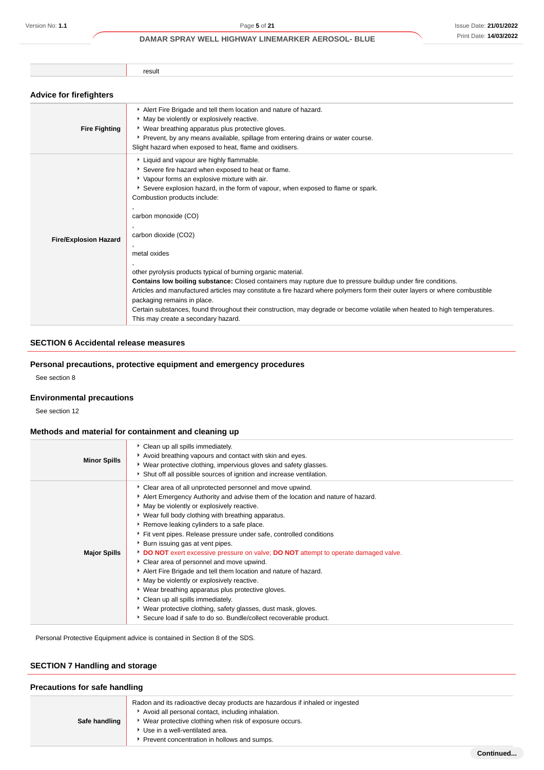result

### **Advice for firefighters**

| <b>Fire Fighting</b>         | Alert Fire Brigade and tell them location and nature of hazard.<br>* May be violently or explosively reactive.<br>• Wear breathing apparatus plus protective gloves.<br>▶ Prevent, by any means available, spillage from entering drains or water course.<br>Slight hazard when exposed to heat, flame and oxidisers.                                                                                                                                                                                                                                                                                                                                                                                                                                                                                                                             |
|------------------------------|---------------------------------------------------------------------------------------------------------------------------------------------------------------------------------------------------------------------------------------------------------------------------------------------------------------------------------------------------------------------------------------------------------------------------------------------------------------------------------------------------------------------------------------------------------------------------------------------------------------------------------------------------------------------------------------------------------------------------------------------------------------------------------------------------------------------------------------------------|
| <b>Fire/Explosion Hazard</b> | Liquid and vapour are highly flammable.<br>Severe fire hazard when exposed to heat or flame.<br>Vapour forms an explosive mixture with air.<br>Severe explosion hazard, in the form of vapour, when exposed to flame or spark.<br>Combustion products include:<br>carbon monoxide (CO)<br>carbon dioxide (CO2)<br>metal oxides<br>other pyrolysis products typical of burning organic material.<br>Contains low boiling substance: Closed containers may rupture due to pressure buildup under fire conditions.<br>Articles and manufactured articles may constitute a fire hazard where polymers form their outer layers or where combustible<br>packaging remains in place.<br>Certain substances, found throughout their construction, may degrade or become volatile when heated to high temperatures.<br>This may create a secondary hazard. |

# **SECTION 6 Accidental release measures**

### **Personal precautions, protective equipment and emergency procedures**

See section 8

### **Environmental precautions**

See section 12

### **Methods and material for containment and cleaning up**

| <b>Minor Spills</b> | • Clean up all spills immediately.<br>Avoid breathing vapours and contact with skin and eyes.<br>▶ Wear protective clothing, impervious gloves and safety glasses.<br>Shut off all possible sources of ignition and increase ventilation.                                                                                                                                                                                                                                                                                                                                                                                                                                                                                                                                                                                                                                                      |
|---------------------|------------------------------------------------------------------------------------------------------------------------------------------------------------------------------------------------------------------------------------------------------------------------------------------------------------------------------------------------------------------------------------------------------------------------------------------------------------------------------------------------------------------------------------------------------------------------------------------------------------------------------------------------------------------------------------------------------------------------------------------------------------------------------------------------------------------------------------------------------------------------------------------------|
| <b>Major Spills</b> | Clear area of all unprotected personnel and move upwind.<br>Alert Emergency Authority and advise them of the location and nature of hazard.<br>• May be violently or explosively reactive.<br>▸ Wear full body clothing with breathing apparatus.<br>Remove leaking cylinders to a safe place.<br>Fit vent pipes. Release pressure under safe, controlled conditions<br>▶ Burn issuing gas at vent pipes.<br>DO NOT exert excessive pressure on valve; DO NOT attempt to operate damaged valve.<br>• Clear area of personnel and move upwind.<br>Alert Fire Brigade and tell them location and nature of hazard.<br>May be violently or explosively reactive.<br>• Wear breathing apparatus plus protective gloves.<br>Clean up all spills immediately.<br>▶ Wear protective clothing, safety glasses, dust mask, gloves.<br>Secure load if safe to do so. Bundle/collect recoverable product. |

Personal Protective Equipment advice is contained in Section 8 of the SDS.

# **SECTION 7 Handling and storage**

### **Precautions for safe handling**

| Safe handling | Radon and its radioactive decay products are hazardous if inhaled or ingested<br>Avoid all personal contact, including inhalation.<br>▶ Wear protective clothing when risk of exposure occurs.<br>Use in a well-ventilated area.<br>Prevent concentration in hollows and sumps. |
|---------------|---------------------------------------------------------------------------------------------------------------------------------------------------------------------------------------------------------------------------------------------------------------------------------|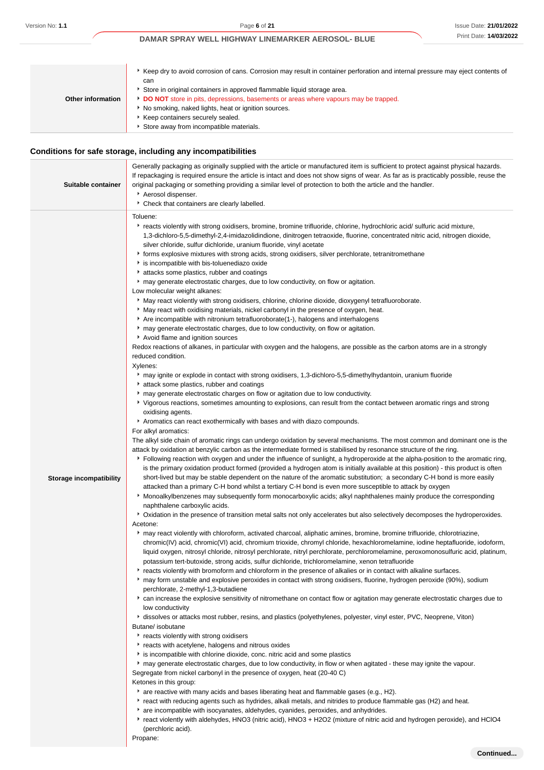| Other information | ► Keep dry to avoid corrosion of cans. Corrosion may result in container perforation and internal pressure may eject contents of<br>can<br>Store in original containers in approved flammable liquid storage area.<br>DO NOT store in pits, depressions, basements or areas where vapours may be trapped.<br>No smoking, naked lights, heat or ignition sources.<br>Keep containers securely sealed.<br>Store away from incompatible materials. |
|-------------------|-------------------------------------------------------------------------------------------------------------------------------------------------------------------------------------------------------------------------------------------------------------------------------------------------------------------------------------------------------------------------------------------------------------------------------------------------|

# **Conditions for safe storage, including any incompatibilities**

| Suitable container             | Generally packaging as originally supplied with the article or manufactured item is sufficient to protect against physical hazards.<br>If repackaging is required ensure the article is intact and does not show signs of wear. As far as is practicably possible, reuse the<br>original packaging or something providing a similar level of protection to both the article and the handler.<br>Aerosol dispenser.<br>* Check that containers are clearly labelled.                                                                                                                                                                                                                                                                                                                                                                                                                                                                                                                                                                                                                                                                                                                                                                                                                                                                                                                                                                                                                                                                                                                                                                                                                                                                                                                                                                                                                                                                                                                                                                                                                                                                                                                                                                                                                                                                                                                                                                                                                                                                                                                                                                                                                                                                                                                                                                                                                                                                                                                                                                                                                                                                                                                                                                                                                                                                                                                                                                                                                                                                                                                                                                                                                                                                                                                                                                                                                                                                                                                                                                                                                                                                                                                                                                                                                                                                                                                                                                                                                                                                                                                                                                                                                                                                                                                                                                      |
|--------------------------------|------------------------------------------------------------------------------------------------------------------------------------------------------------------------------------------------------------------------------------------------------------------------------------------------------------------------------------------------------------------------------------------------------------------------------------------------------------------------------------------------------------------------------------------------------------------------------------------------------------------------------------------------------------------------------------------------------------------------------------------------------------------------------------------------------------------------------------------------------------------------------------------------------------------------------------------------------------------------------------------------------------------------------------------------------------------------------------------------------------------------------------------------------------------------------------------------------------------------------------------------------------------------------------------------------------------------------------------------------------------------------------------------------------------------------------------------------------------------------------------------------------------------------------------------------------------------------------------------------------------------------------------------------------------------------------------------------------------------------------------------------------------------------------------------------------------------------------------------------------------------------------------------------------------------------------------------------------------------------------------------------------------------------------------------------------------------------------------------------------------------------------------------------------------------------------------------------------------------------------------------------------------------------------------------------------------------------------------------------------------------------------------------------------------------------------------------------------------------------------------------------------------------------------------------------------------------------------------------------------------------------------------------------------------------------------------------------------------------------------------------------------------------------------------------------------------------------------------------------------------------------------------------------------------------------------------------------------------------------------------------------------------------------------------------------------------------------------------------------------------------------------------------------------------------------------------------------------------------------------------------------------------------------------------------------------------------------------------------------------------------------------------------------------------------------------------------------------------------------------------------------------------------------------------------------------------------------------------------------------------------------------------------------------------------------------------------------------------------------------------------------------------------------------------------------------------------------------------------------------------------------------------------------------------------------------------------------------------------------------------------------------------------------------------------------------------------------------------------------------------------------------------------------------------------------------------------------------------------------------------------------------------------------------------------------------------------------------------------------------------------------------------------------------------------------------------------------------------------------------------------------------------------------------------------------------------------------------------------------------------------------------------------------------------------------------------------------------------------------------------------------------------------------------------------------------------------------------------|
| <b>Storage incompatibility</b> | Toluene:<br>Freacts violently with strong oxidisers, bromine, bromine trifluoride, chlorine, hydrochloric acid/sulfuric acid mixture,<br>1,3-dichloro-5,5-dimethyl-2,4-imidazolidindione, dinitrogen tetraoxide, fluorine, concentrated nitric acid, nitrogen dioxide,<br>silver chloride, sulfur dichloride, uranium fluoride, vinyl acetate<br>• forms explosive mixtures with strong acids, strong oxidisers, silver perchlorate, tetranitromethane<br>is incompatible with bis-toluenediazo oxide<br>attacks some plastics, rubber and coatings<br>• may generate electrostatic charges, due to low conductivity, on flow or agitation.<br>Low molecular weight alkanes:<br>May react violently with strong oxidisers, chlorine, chlorine dioxide, dioxygenyl tetrafluoroborate.<br>May react with oxidising materials, nickel carbonyl in the presence of oxygen, heat.<br>Are incompatible with nitronium tetrafluoroborate(1-), halogens and interhalogens<br>A may generate electrostatic charges, due to low conductivity, on flow or agitation.<br>Avoid flame and ignition sources<br>Redox reactions of alkanes, in particular with oxygen and the halogens, are possible as the carbon atoms are in a strongly<br>reduced condition.<br>Xylenes:<br>may ignite or explode in contact with strong oxidisers, 1,3-dichloro-5,5-dimethylhydantoin, uranium fluoride<br>attack some plastics, rubber and coatings<br>• may generate electrostatic charges on flow or agitation due to low conductivity.<br>▶ Vigorous reactions, sometimes amounting to explosions, can result from the contact between aromatic rings and strong<br>oxidising agents.<br>Aromatics can react exothermically with bases and with diazo compounds.<br>For alkyl aromatics:<br>The alkyl side chain of aromatic rings can undergo oxidation by several mechanisms. The most common and dominant one is the<br>attack by oxidation at benzylic carbon as the intermediate formed is stabilised by resonance structure of the ring.<br>Following reaction with oxygen and under the influence of sunlight, a hydroperoxide at the alpha-position to the aromatic ring,<br>is the primary oxidation product formed (provided a hydrogen atom is initially available at this position) - this product is often<br>short-lived but may be stable dependent on the nature of the aromatic substitution; a secondary C-H bond is more easily<br>attacked than a primary C-H bond whilst a tertiary C-H bond is even more susceptible to attack by oxygen<br>• Monoalkylbenzenes may subsequently form monocarboxylic acids; alkyl naphthalenes mainly produce the corresponding<br>naphthalene carboxylic acids.<br>▶ Oxidation in the presence of transition metal salts not only accelerates but also selectively decomposes the hydroperoxides.<br>Acetone:<br>► may react violently with chloroform, activated charcoal, aliphatic amines, bromine, bromine trifluoride, chlorotriazine,<br>chromic(IV) acid, chromic(VI) acid, chromium trioxide, chromyl chloride, hexachloromelamine, iodine heptafluoride, iodoform,<br>liquid oxygen, nitrosyl chloride, nitrosyl perchlorate, nitryl perchlorate, perchloromelamine, peroxomonosulfuric acid, platinum,<br>potassium tert-butoxide, strong acids, sulfur dichloride, trichloromelamine, xenon tetrafluoride<br>Freacts violently with bromoform and chloroform in the presence of alkalies or in contact with alkaline surfaces.<br>▶ may form unstable and explosive peroxides in contact with strong oxidisers, fluorine, hydrogen peroxide (90%), sodium<br>perchlorate, 2-methyl-1,3-butadiene<br>• can increase the explosive sensitivity of nitromethane on contact flow or agitation may generate electrostatic charges due to<br>low conductivity<br>A dissolves or attacks most rubber, resins, and plastics (polyethylenes, polyester, vinyl ester, PVC, Neoprene, Viton)<br>Butane/ isobutane<br>reacts violently with strong oxidisers<br>reacts with acetylene, halogens and nitrous oxides<br>is incompatible with chlorine dioxide, conc. nitric acid and some plastics<br>► may generate electrostatic charges, due to low conductivity, in flow or when agitated - these may ignite the vapour.<br>Segregate from nickel carbonyl in the presence of oxygen, heat (20-40 C)<br>Ketones in this group:<br>▶ are reactive with many acids and bases liberating heat and flammable gases (e.g., H2).<br>Freact with reducing agents such as hydrides, alkali metals, and nitrides to produce flammable gas (H2) and heat.<br>* are incompatible with isocyanates, aldehydes, cyanides, peroxides, and anhydrides.<br>react violently with aldehydes, HNO3 (nitric acid), HNO3 + H2O2 (mixture of nitric acid and hydrogen peroxide), and HClO4<br>(perchloric acid).<br>Propane: |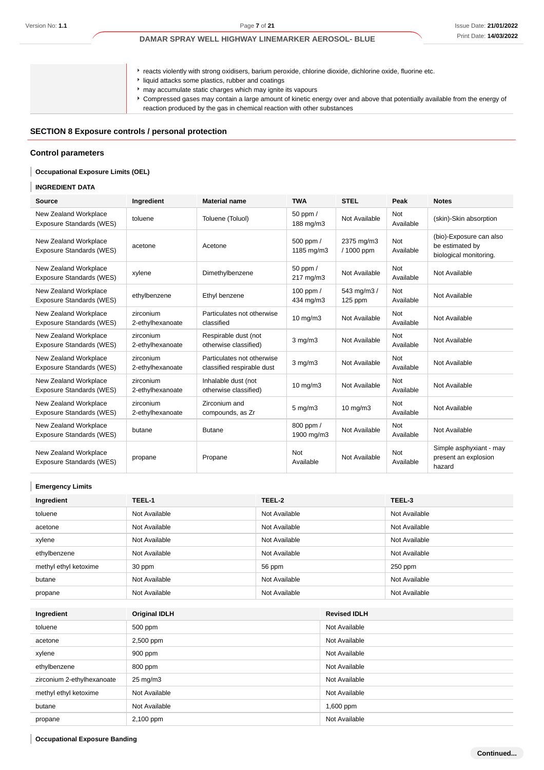reacts violently with strong oxidisers, barium peroxide, chlorine dioxide, dichlorine oxide, fluorine etc.

- liquid attacks some plastics, rubber and coatings
- may accumulate static charges which may ignite its vapours
- Compressed gases may contain a large amount of kinetic energy over and above that potentially available from the energy of reaction produced by the gas in chemical reaction with other substances

### **SECTION 8 Exposure controls / personal protection**

#### **Control parameters**

### **Occupational Exposure Limits (OEL)**

### **INGREDIENT DATA**

ı

| <b>Source</b>                                     | Ingredient                    | <b>Material name</b>                                     | <b>TWA</b>              | <b>STEL</b>              | Peak                    | <b>Notes</b>                                                         |
|---------------------------------------------------|-------------------------------|----------------------------------------------------------|-------------------------|--------------------------|-------------------------|----------------------------------------------------------------------|
| New Zealand Workplace<br>Exposure Standards (WES) | toluene                       | Toluene (Toluol)                                         | 50 ppm /<br>188 mg/m3   | Not Available            | Not<br>Available        | (skin)-Skin absorption                                               |
| New Zealand Workplace<br>Exposure Standards (WES) | acetone                       | Acetone                                                  | 500 ppm /<br>1185 mg/m3 | 2375 mg/m3<br>/ 1000 ppm | <b>Not</b><br>Available | (bio)-Exposure can also<br>be estimated by<br>biological monitoring. |
| New Zealand Workplace<br>Exposure Standards (WES) | xylene                        | Dimethylbenzene                                          | 50 ppm /<br>217 mg/m3   | Not Available            | <b>Not</b><br>Available | Not Available                                                        |
| New Zealand Workplace<br>Exposure Standards (WES) | ethylbenzene                  | Ethyl benzene                                            | 100 ppm /<br>434 mg/m3  | 543 mg/m3 /<br>125 ppm   | <b>Not</b><br>Available | Not Available                                                        |
| New Zealand Workplace<br>Exposure Standards (WES) | zirconium<br>2-ethylhexanoate | Particulates not otherwise<br>classified                 | $10 \text{ mg/m}$       | Not Available            | Not<br>Available        | Not Available                                                        |
| New Zealand Workplace<br>Exposure Standards (WES) | zirconium<br>2-ethylhexanoate | Respirable dust (not<br>otherwise classified)            | $3$ mg/m $3$            | Not Available            | <b>Not</b><br>Available | Not Available                                                        |
| New Zealand Workplace<br>Exposure Standards (WES) | zirconium<br>2-ethylhexanoate | Particulates not otherwise<br>classified respirable dust | $3$ mg/m $3$            | Not Available            | Not<br>Available        | Not Available                                                        |
| New Zealand Workplace<br>Exposure Standards (WES) | zirconium<br>2-ethylhexanoate | Inhalable dust (not<br>otherwise classified)             | $10 \text{ mg/m}$       | Not Available            | Not<br>Available        | Not Available                                                        |
| New Zealand Workplace<br>Exposure Standards (WES) | zirconium<br>2-ethylhexanoate | Zirconium and<br>compounds, as Zr                        | $5 \text{ mg/m}$ 3      | $10 \text{ mg/m}$        | Not<br>Available        | Not Available                                                        |
| New Zealand Workplace<br>Exposure Standards (WES) | butane                        | <b>Butane</b>                                            | 800 ppm /<br>1900 mg/m3 | Not Available            | Not<br>Available        | Not Available                                                        |
| New Zealand Workplace<br>Exposure Standards (WES) | propane                       | Propane                                                  | <b>Not</b><br>Available | Not Available            | Not<br>Available        | Simple asphyxiant - may<br>present an explosion<br>hazard            |

### **Emergency Limits**

| Ingredient            | TEEL-1        | TEEL-2        | TEEL-3        |
|-----------------------|---------------|---------------|---------------|
| toluene               | Not Available | Not Available | Not Available |
| acetone               | Not Available | Not Available | Not Available |
| xylene                | Not Available | Not Available | Not Available |
| ethylbenzene          | Not Available | Not Available | Not Available |
| methyl ethyl ketoxime | 30 ppm        | 56 ppm        | $250$ ppm     |
| butane                | Not Available | Not Available | Not Available |
| propane               | Not Available | Not Available | Not Available |

| Ingredient                 | <b>Original IDLH</b> | <b>Revised IDLH</b> |
|----------------------------|----------------------|---------------------|
| toluene                    | 500 ppm              | Not Available       |
| acetone                    | 2,500 ppm            | Not Available       |
| xylene                     | 900 ppm              | Not Available       |
| ethylbenzene               | 800 ppm              | Not Available       |
| zirconium 2-ethylhexanoate | $25 \text{ mg/m}$    | Not Available       |
| methyl ethyl ketoxime      | Not Available        | Not Available       |
| butane                     | Not Available        | $1,600$ ppm         |
| propane                    | 2,100 ppm            | Not Available       |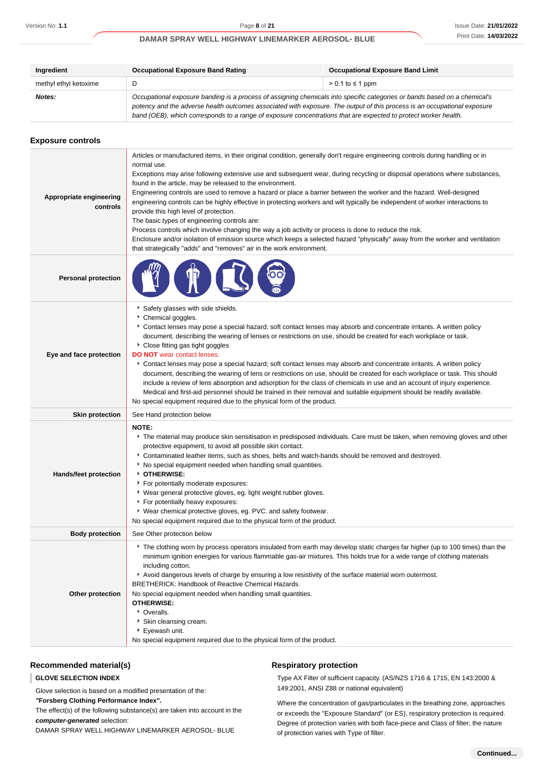| Ingredient            | <b>Occupational Exposure Band Rating</b>                                                                                                                                                                                                              | <b>Occupational Exposure Band Limit</b> |  |
|-----------------------|-------------------------------------------------------------------------------------------------------------------------------------------------------------------------------------------------------------------------------------------------------|-----------------------------------------|--|
| methyl ethyl ketoxime | D                                                                                                                                                                                                                                                     | $> 0.1$ to $\leq 1$ ppm                 |  |
| Notes:                | Occupational exposure banding is a process of assigning chemicals into specific categories or bands based on a chemical's<br>potency and the adverse health outcomes associated with exposure. The output of this process is an occupational exposure |                                         |  |
|                       | band (OEB), which corresponds to a range of exposure concentrations that are expected to protect worker health.                                                                                                                                       |                                         |  |

| <b>Exposure controls</b>            |                                                                                                                                                                                                                                                                                                                                                                                                                                                                                                                                                                                                                                                                                                                                                                                                                                                                                                                                                                                                                  |
|-------------------------------------|------------------------------------------------------------------------------------------------------------------------------------------------------------------------------------------------------------------------------------------------------------------------------------------------------------------------------------------------------------------------------------------------------------------------------------------------------------------------------------------------------------------------------------------------------------------------------------------------------------------------------------------------------------------------------------------------------------------------------------------------------------------------------------------------------------------------------------------------------------------------------------------------------------------------------------------------------------------------------------------------------------------|
| Appropriate engineering<br>controls | Articles or manufactured items, in their original condition, generally don't require engineering controls during handling or in<br>normal use.<br>Exceptions may arise following extensive use and subsequent wear, during recycling or disposal operations where substances,<br>found in the article, may be released to the environment.<br>Engineering controls are used to remove a hazard or place a barrier between the worker and the hazard. Well-designed<br>engineering controls can be highly effective in protecting workers and will typically be independent of worker interactions to<br>provide this high level of protection.<br>The basic types of engineering controls are:<br>Process controls which involve changing the way a job activity or process is done to reduce the risk.<br>Enclosure and/or isolation of emission source which keeps a selected hazard "physically" away from the worker and ventilation<br>that strategically "adds" and "removes" air in the work environment. |
| <b>Personal protection</b>          |                                                                                                                                                                                                                                                                                                                                                                                                                                                                                                                                                                                                                                                                                                                                                                                                                                                                                                                                                                                                                  |
| Eye and face protection             | Safety glasses with side shields.<br>Chemical goggles.<br>Contact lenses may pose a special hazard; soft contact lenses may absorb and concentrate irritants. A written policy<br>document, describing the wearing of lenses or restrictions on use, should be created for each workplace or task.<br>Close fitting gas tight goggles<br><b>DO NOT</b> wear contact lenses.<br>▶ Contact lenses may pose a special hazard; soft contact lenses may absorb and concentrate irritants. A written policy<br>document, describing the wearing of lens or restrictions on use, should be created for each workplace or task. This should<br>include a review of lens absorption and adsorption for the class of chemicals in use and an account of injury experience.<br>Medical and first-aid personnel should be trained in their removal and suitable equipment should be readily available.<br>No special equipment required due to the physical form of the product.                                             |
| <b>Skin protection</b>              | See Hand protection below                                                                                                                                                                                                                                                                                                                                                                                                                                                                                                                                                                                                                                                                                                                                                                                                                                                                                                                                                                                        |
| <b>Hands/feet protection</b>        | NOTE:<br>The material may produce skin sensitisation in predisposed individuals. Care must be taken, when removing gloves and other<br>protective equipment, to avoid all possible skin contact.<br>Contaminated leather items, such as shoes, belts and watch-bands should be removed and destroyed.<br>No special equipment needed when handling small quantities.<br>OTHERWISE:<br>For potentially moderate exposures:<br>▶ Wear general protective gloves, eg. light weight rubber gloves.<br>For potentially heavy exposures:<br>▶ Wear chemical protective gloves, eg. PVC. and safety footwear.<br>No special equipment required due to the physical form of the product.                                                                                                                                                                                                                                                                                                                                 |
| <b>Body protection</b>              | See Other protection below                                                                                                                                                                                                                                                                                                                                                                                                                                                                                                                                                                                                                                                                                                                                                                                                                                                                                                                                                                                       |
| Other protection                    | The clothing worn by process operators insulated from earth may develop static charges far higher (up to 100 times) than the<br>minimum ignition energies for various flammable gas-air mixtures. This holds true for a wide range of clothing materials<br>including cotton.<br>Avoid dangerous levels of charge by ensuring a low resistivity of the surface material worn outermost.<br>BRETHERICK: Handbook of Reactive Chemical Hazards.<br>No special equipment needed when handling small quantities.<br><b>OTHERWISE:</b><br>• Overalls.<br>Skin cleansing cream.<br>Eyewash unit.<br>No special equipment required due to the physical form of the product.                                                                                                                                                                                                                                                                                                                                             |

### **Recommended material(s)**

#### **GLOVE SELECTION INDEX**

Glove selection is based on a modified presentation of the:

**"Forsberg Clothing Performance Index".**

The effect(s) of the following substance(s) are taken into account in the **computer-generated** selection:

DAMAR SPRAY WELL HIGHWAY LINEMARKER AEROSOL- BLUE

### **Respiratory protection**

Type AX Filter of sufficient capacity. (AS/NZS 1716 & 1715, EN 143:2000 & 149:2001, ANSI Z88 or national equivalent)

Where the concentration of gas/particulates in the breathing zone, approaches or exceeds the "Exposure Standard" (or ES), respiratory protection is required. Degree of protection varies with both face-piece and Class of filter; the nature of protection varies with Type of filter.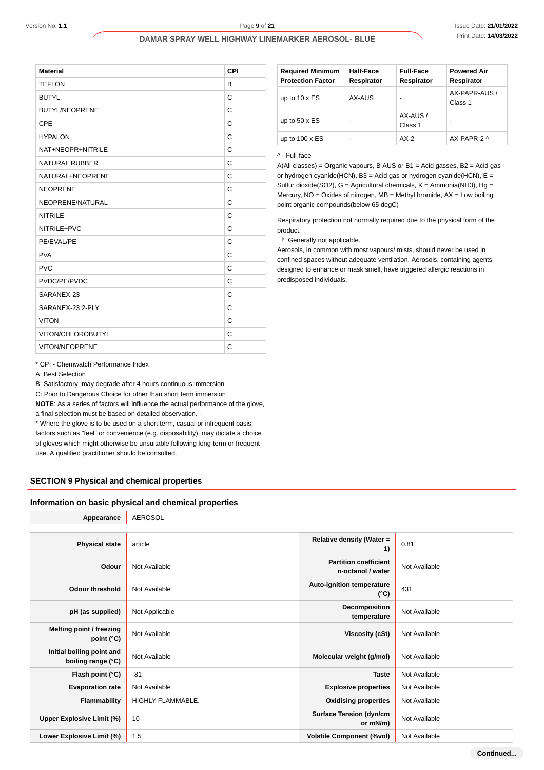| <b>TEFLON</b>         | B |
|-----------------------|---|
|                       |   |
| <b>BUTYL</b>          | C |
| <b>BUTYL/NEOPRENE</b> | C |
| CPE                   | C |
| <b>HYPALON</b>        | C |
| NAT+NEOPR+NITRILE     | C |
| <b>NATURAL RUBBER</b> | C |
| NATURAL+NEOPRENE      | C |
| <b>NEOPRENE</b>       | C |
| NEOPRENE/NATURAL      | C |
| <b>NITRILE</b>        | C |
| NITRILE+PVC           | C |
| PE/EVAL/PE            | C |
| <b>PVA</b>            | C |
| <b>PVC</b>            | C |
| PVDC/PE/PVDC          | C |
| SARANEX-23            | C |
| SARANEX-23 2-PLY      | C |
| <b>VITON</b>          | C |
| VITON/CHLOROBUTYL     | C |
| VITON/NEOPRENE        | C |

| <b>Required Minimum</b><br><b>Protection Factor</b> | Half-Face<br>Respirator | <b>Full-Face</b><br>Respirator | <b>Powered Air</b><br>Respirator |
|-----------------------------------------------------|-------------------------|--------------------------------|----------------------------------|
| up to $10 \times ES$                                | AX-AUS                  | -                              | AX-PAPR-AUS /<br>Class 1         |
| up to $50 \times ES$                                | -                       | AX-AUS /<br>Class 1            | -                                |
| up to $100 \times ES$                               | -                       | $AX-2$                         | $AX-PAPR-2$                      |

#### ^ - Full-face

A(All classes) = Organic vapours, B AUS or B1 = Acid gasses, B2 = Acid gas or hydrogen cyanide(HCN), B3 = Acid gas or hydrogen cyanide(HCN),  $E =$ Sulfur dioxide(SO2), G = Agricultural chemicals, K = Ammonia(NH3), Hg = Mercury, NO = Oxides of nitrogen, MB = Methyl bromide, AX = Low boiling point organic compounds(below 65 degC)

Respiratory protection not normally required due to the physical form of the product.

### Generally not applicable.

Aerosols, in common with most vapours/ mists, should never be used in confined spaces without adequate ventilation. Aerosols, containing agents designed to enhance or mask smell, have triggered allergic reactions in predisposed individuals.

\* CPI - Chemwatch Performance Index

A: Best Selection

B: Satisfactory; may degrade after 4 hours continuous immersion

C: Poor to Dangerous Choice for other than short term immersion

**NOTE**: As a series of factors will influence the actual performance of the glove, a final selection must be based on detailed observation. -

\* Where the glove is to be used on a short term, casual or infrequent basis,

factors such as "feel" or convenience (e.g. disposability), may dictate a choice of gloves which might otherwise be unsuitable following long-term or frequent use. A qualified practitioner should be consulted.

### **SECTION 9 Physical and chemical properties**

#### **Information on basic physical and chemical properties**

| Appearance                                      | <b>AEROSOL</b>    |                                                   |               |
|-------------------------------------------------|-------------------|---------------------------------------------------|---------------|
|                                                 |                   |                                                   |               |
| <b>Physical state</b>                           | article           | Relative density (Water =<br>1)                   | 0.81          |
| Odour                                           | Not Available     | <b>Partition coefficient</b><br>n-octanol / water | Not Available |
| <b>Odour threshold</b>                          | Not Available     | Auto-ignition temperature<br>$(^{\circ}C)$        | 431           |
| pH (as supplied)                                | Not Applicable    | Decomposition<br>temperature                      | Not Available |
| Melting point / freezing<br>point (°C)          | Not Available     | Viscosity (cSt)                                   | Not Available |
| Initial boiling point and<br>boiling range (°C) | Not Available     | Molecular weight (g/mol)                          | Not Available |
| Flash point (°C)                                | $-81$             | <b>Taste</b>                                      | Not Available |
| <b>Evaporation rate</b>                         | Not Available     | <b>Explosive properties</b>                       | Not Available |
| Flammability                                    | HIGHLY FLAMMABLE. | <b>Oxidising properties</b>                       | Not Available |
| Upper Explosive Limit (%)                       | 10                | <b>Surface Tension (dyn/cm</b><br>or mN/m)        | Not Available |
| Lower Explosive Limit (%)                       | 1.5               | <b>Volatile Component (%vol)</b>                  | Not Available |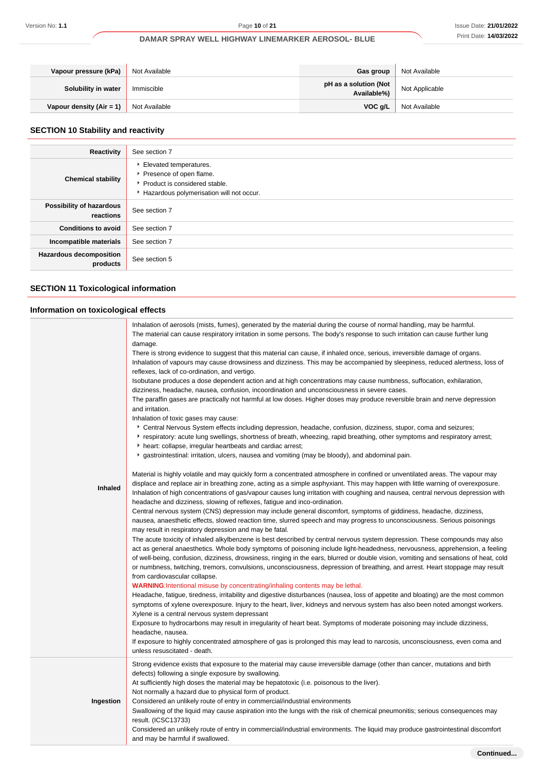| Vapour pressure (kPa)      | Not Available | Gas group                            | Not Available  |
|----------------------------|---------------|--------------------------------------|----------------|
| Solubility in water        | Immiscible    | pH as a solution (Not<br>Available%) | Not Applicable |
| Vapour density $(Air = 1)$ | Not Available | VOC a/L                              | Not Available  |

# **SECTION 10 Stability and reactivity**

| Reactivity                                 | See section 7                                                                                                                    |
|--------------------------------------------|----------------------------------------------------------------------------------------------------------------------------------|
| <b>Chemical stability</b>                  | Elevated temperatures.<br>Presence of open flame.<br>▶ Product is considered stable.<br>Hazardous polymerisation will not occur. |
| Possibility of hazardous<br>reactions      | See section 7                                                                                                                    |
| <b>Conditions to avoid</b>                 | See section 7                                                                                                                    |
| Incompatible materials                     | See section 7                                                                                                                    |
| <b>Hazardous decomposition</b><br>products | See section 5                                                                                                                    |

# **SECTION 11 Toxicological information**

# **Information on toxicological effects**

| <b>Inhaled</b> | Inhalation of aerosols (mists, fumes), generated by the material during the course of normal handling, may be harmful.<br>The material can cause respiratory irritation in some persons. The body's response to such irritation can cause further lung<br>damage.<br>There is strong evidence to suggest that this material can cause, if inhaled once, serious, irreversible damage of organs.<br>Inhalation of vapours may cause drowsiness and dizziness. This may be accompanied by sleepiness, reduced alertness, loss of<br>reflexes, lack of co-ordination, and vertigo.<br>Isobutane produces a dose dependent action and at high concentrations may cause numbness, suffocation, exhilaration,<br>dizziness, headache, nausea, confusion, incoordination and unconsciousness in severe cases.<br>The paraffin gases are practically not harmful at low doses. Higher doses may produce reversible brain and nerve depression<br>and irritation.<br>Inhalation of toxic gases may cause:<br>* Central Nervous System effects including depression, headache, confusion, dizziness, stupor, coma and seizures;<br>▶ respiratory: acute lung swellings, shortness of breath, wheezing, rapid breathing, other symptoms and respiratory arrest;<br>heart: collapse, irregular heartbeats and cardiac arrest;<br>gastrointestinal: irritation, ulcers, nausea and vomiting (may be bloody), and abdominal pain.<br>Material is highly volatile and may quickly form a concentrated atmosphere in confined or unventilated areas. The vapour may<br>displace and replace air in breathing zone, acting as a simple asphyxiant. This may happen with little warning of overexposure.<br>Inhalation of high concentrations of gas/vapour causes lung irritation with coughing and nausea, central nervous depression with<br>headache and dizziness, slowing of reflexes, fatigue and inco-ordination.<br>Central nervous system (CNS) depression may include general discomfort, symptoms of giddiness, headache, dizziness,<br>nausea, anaesthetic effects, slowed reaction time, slurred speech and may progress to unconsciousness. Serious poisonings<br>may result in respiratory depression and may be fatal.<br>The acute toxicity of inhaled alkylbenzene is best described by central nervous system depression. These compounds may also<br>act as general anaesthetics. Whole body symptoms of poisoning include light-headedness, nervousness, apprehension, a feeling<br>of well-being, confusion, dizziness, drowsiness, ringing in the ears, blurred or double vision, vomiting and sensations of heat, cold<br>or numbness, twitching, tremors, convulsions, unconsciousness, depression of breathing, and arrest. Heart stoppage may result<br>from cardiovascular collapse.<br><b>WARNING:</b> Intentional misuse by concentrating/inhaling contents may be lethal.<br>Headache, fatigue, tiredness, irritability and digestive disturbances (nausea, loss of appetite and bloating) are the most common<br>symptoms of xylene overexposure. Injury to the heart, liver, kidneys and nervous system has also been noted amongst workers.<br>Xylene is a central nervous system depressant<br>Exposure to hydrocarbons may result in irregularity of heart beat. Symptoms of moderate poisoning may include dizziness,<br>headache, nausea.<br>If exposure to highly concentrated atmosphere of gas is prolonged this may lead to narcosis, unconsciousness, even coma and<br>unless resuscitated - death. |
|----------------|-------------------------------------------------------------------------------------------------------------------------------------------------------------------------------------------------------------------------------------------------------------------------------------------------------------------------------------------------------------------------------------------------------------------------------------------------------------------------------------------------------------------------------------------------------------------------------------------------------------------------------------------------------------------------------------------------------------------------------------------------------------------------------------------------------------------------------------------------------------------------------------------------------------------------------------------------------------------------------------------------------------------------------------------------------------------------------------------------------------------------------------------------------------------------------------------------------------------------------------------------------------------------------------------------------------------------------------------------------------------------------------------------------------------------------------------------------------------------------------------------------------------------------------------------------------------------------------------------------------------------------------------------------------------------------------------------------------------------------------------------------------------------------------------------------------------------------------------------------------------------------------------------------------------------------------------------------------------------------------------------------------------------------------------------------------------------------------------------------------------------------------------------------------------------------------------------------------------------------------------------------------------------------------------------------------------------------------------------------------------------------------------------------------------------------------------------------------------------------------------------------------------------------------------------------------------------------------------------------------------------------------------------------------------------------------------------------------------------------------------------------------------------------------------------------------------------------------------------------------------------------------------------------------------------------------------------------------------------------------------------------------------------------------------------------------------------------------------------------------------------------------------------------------------------------------------------------------------------------------------------------------------------------------------------------------------------------------------------------------------------------------------------------------------------------------------------------------------------------------------------------------------------------|
|                | Strong evidence exists that exposure to the material may cause irreversible damage (other than cancer, mutations and birth                                                                                                                                                                                                                                                                                                                                                                                                                                                                                                                                                                                                                                                                                                                                                                                                                                                                                                                                                                                                                                                                                                                                                                                                                                                                                                                                                                                                                                                                                                                                                                                                                                                                                                                                                                                                                                                                                                                                                                                                                                                                                                                                                                                                                                                                                                                                                                                                                                                                                                                                                                                                                                                                                                                                                                                                                                                                                                                                                                                                                                                                                                                                                                                                                                                                                                                                                                                                    |
| Ingestion      | defects) following a single exposure by swallowing.<br>At sufficiently high doses the material may be hepatotoxic (i.e. poisonous to the liver).<br>Not normally a hazard due to physical form of product.<br>Considered an unlikely route of entry in commercial/industrial environments<br>Swallowing of the liquid may cause aspiration into the lungs with the risk of chemical pneumonitis; serious consequences may<br>result. (ICSC13733)<br>Considered an unlikely route of entry in commercial/industrial environments. The liquid may produce gastrointestinal discomfort<br>and may be harmful if swallowed.                                                                                                                                                                                                                                                                                                                                                                                                                                                                                                                                                                                                                                                                                                                                                                                                                                                                                                                                                                                                                                                                                                                                                                                                                                                                                                                                                                                                                                                                                                                                                                                                                                                                                                                                                                                                                                                                                                                                                                                                                                                                                                                                                                                                                                                                                                                                                                                                                                                                                                                                                                                                                                                                                                                                                                                                                                                                                                       |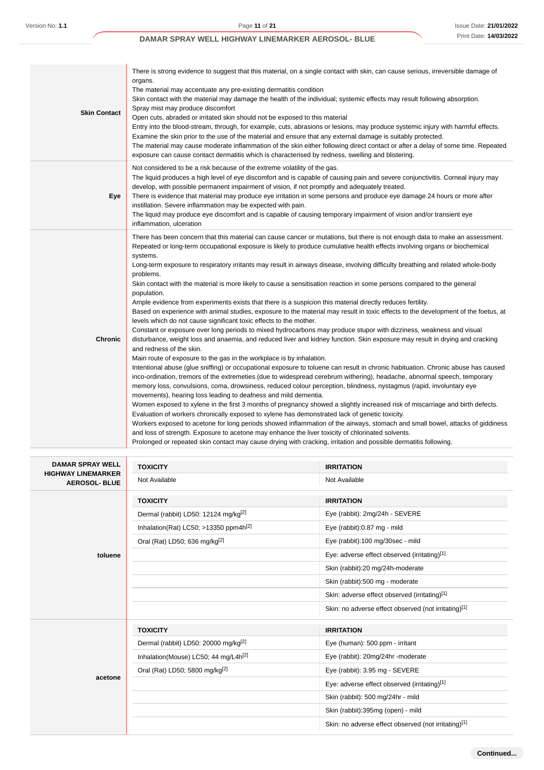| <b>Skin Contact</b> | There is strong evidence to suggest that this material, on a single contact with skin, can cause serious, irreversible damage of<br>organs.<br>The material may accentuate any pre-existing dermatitis condition<br>Skin contact with the material may damage the health of the individual; systemic effects may result following absorption.<br>Spray mist may produce discomfort<br>Open cuts, abraded or irritated skin should not be exposed to this material<br>Entry into the blood-stream, through, for example, cuts, abrasions or lesions, may produce systemic injury with harmful effects.<br>Examine the skin prior to the use of the material and ensure that any external damage is suitably protected.<br>The material may cause moderate inflammation of the skin either following direct contact or after a delay of some time. Repeated<br>exposure can cause contact dermatitis which is characterised by redness, swelling and blistering.                                                                                                                                                                                                                                                                                                                                                                                                                                                                                                                                                                                                                                                                                                                                                                                                                                                                                                                                                                                                                                                                                                                                                                                                                                                                                                                                                 |
|---------------------|----------------------------------------------------------------------------------------------------------------------------------------------------------------------------------------------------------------------------------------------------------------------------------------------------------------------------------------------------------------------------------------------------------------------------------------------------------------------------------------------------------------------------------------------------------------------------------------------------------------------------------------------------------------------------------------------------------------------------------------------------------------------------------------------------------------------------------------------------------------------------------------------------------------------------------------------------------------------------------------------------------------------------------------------------------------------------------------------------------------------------------------------------------------------------------------------------------------------------------------------------------------------------------------------------------------------------------------------------------------------------------------------------------------------------------------------------------------------------------------------------------------------------------------------------------------------------------------------------------------------------------------------------------------------------------------------------------------------------------------------------------------------------------------------------------------------------------------------------------------------------------------------------------------------------------------------------------------------------------------------------------------------------------------------------------------------------------------------------------------------------------------------------------------------------------------------------------------------------------------------------------------------------------------------------------------|
| Eye                 | Not considered to be a risk because of the extreme volatility of the gas.<br>The liquid produces a high level of eye discomfort and is capable of causing pain and severe conjunctivitis. Corneal injury may<br>develop, with possible permanent impairment of vision, if not promptly and adequately treated.<br>There is evidence that material may produce eye irritation in some persons and produce eye damage 24 hours or more after<br>instillation. Severe inflammation may be expected with pain.<br>The liquid may produce eye discomfort and is capable of causing temporary impairment of vision and/or transient eye<br>inflammation, ulceration                                                                                                                                                                                                                                                                                                                                                                                                                                                                                                                                                                                                                                                                                                                                                                                                                                                                                                                                                                                                                                                                                                                                                                                                                                                                                                                                                                                                                                                                                                                                                                                                                                                  |
| <b>Chronic</b>      | There has been concern that this material can cause cancer or mutations, but there is not enough data to make an assessment.<br>Repeated or long-term occupational exposure is likely to produce cumulative health effects involving organs or biochemical<br>systems.<br>Long-term exposure to respiratory irritants may result in airways disease, involving difficulty breathing and related whole-body<br>problems.<br>Skin contact with the material is more likely to cause a sensitisation reaction in some persons compared to the general<br>population.<br>Ample evidence from experiments exists that there is a suspicion this material directly reduces fertility.<br>Based on experience with animal studies, exposure to the material may result in toxic effects to the development of the foetus, at<br>levels which do not cause significant toxic effects to the mother.<br>Constant or exposure over long periods to mixed hydrocarbons may produce stupor with dizziness, weakness and visual<br>disturbance, weight loss and anaemia, and reduced liver and kidney function. Skin exposure may result in drying and cracking<br>and redness of the skin.<br>Main route of exposure to the gas in the workplace is by inhalation.<br>Intentional abuse (glue sniffing) or occupational exposure to toluene can result in chronic habituation. Chronic abuse has caused<br>inco-ordination, tremors of the extremeties (due to widespread cerebrum withering), headache, abnormal speech, temporary<br>memory loss, convulsions, coma, drowsiness, reduced colour perception, blindness, nystagmus (rapid, involuntary eye<br>movements), hearing loss leading to deafness and mild dementia.<br>Women exposed to xylene in the first 3 months of pregnancy showed a slightly increased risk of miscarriage and birth defects.<br>Evaluation of workers chronically exposed to xylene has demonstrated lack of genetic toxicity.<br>Workers exposed to acetone for long periods showed inflammation of the airways, stomach and small bowel, attacks of giddiness<br>and loss of strength. Exposure to acetone may enhance the liver toxicity of chlorinated solvents.<br>Prolonged or repeated skin contact may cause drying with cracking, irritation and possible dermatitis following. |

| <b>DAMAR SPRAY WELL</b>                           | <b>TOXICITY</b>                                     | <b>IRRITATION</b>                                    |  |
|---------------------------------------------------|-----------------------------------------------------|------------------------------------------------------|--|
| <b>HIGHWAY LINEMARKER</b><br><b>AEROSOL- BLUE</b> | Not Available                                       | Not Available                                        |  |
|                                                   | <b>TOXICITY</b>                                     | <b>IRRITATION</b>                                    |  |
|                                                   | Dermal (rabbit) LD50: 12124 mg/kg <sup>[2]</sup>    | Eye (rabbit): 2mg/24h - SEVERE                       |  |
|                                                   | Inhalation(Rat) LC50; $>13350$ ppm4h <sup>[2]</sup> | Eye (rabbit):0.87 mg - mild                          |  |
|                                                   | Oral (Rat) LD50; 636 mg/kg <sup>[2]</sup>           | Eye (rabbit):100 mg/30sec - mild                     |  |
| toluene                                           |                                                     | Eye: adverse effect observed (irritating)[1]         |  |
|                                                   |                                                     | Skin (rabbit):20 mg/24h-moderate                     |  |
|                                                   |                                                     | Skin (rabbit):500 mg - moderate                      |  |
|                                                   |                                                     | Skin: adverse effect observed (irritating)[1]        |  |
|                                                   |                                                     | Skin: no adverse effect observed (not irritating)[1] |  |
|                                                   | <b>TOXICITY</b>                                     | <b>IRRITATION</b>                                    |  |
|                                                   | Dermal (rabbit) LD50: 20000 mg/kg <sup>[2]</sup>    | Eye (human): 500 ppm - irritant                      |  |
|                                                   | Inhalation(Mouse) LC50; 44 mg/L4h <sup>[2]</sup>    | Eye (rabbit): 20mg/24hr -moderate                    |  |
|                                                   | Oral (Rat) LD50; 5800 mg/kg <sup>[2]</sup>          | Eye (rabbit): 3.95 mg - SEVERE                       |  |
| acetone                                           |                                                     | Eye: adverse effect observed (irritating)[1]         |  |
|                                                   |                                                     | Skin (rabbit): 500 mg/24hr - mild                    |  |
|                                                   |                                                     | Skin (rabbit):395mg (open) - mild                    |  |
|                                                   |                                                     | Skin: no adverse effect observed (not irritating)[1] |  |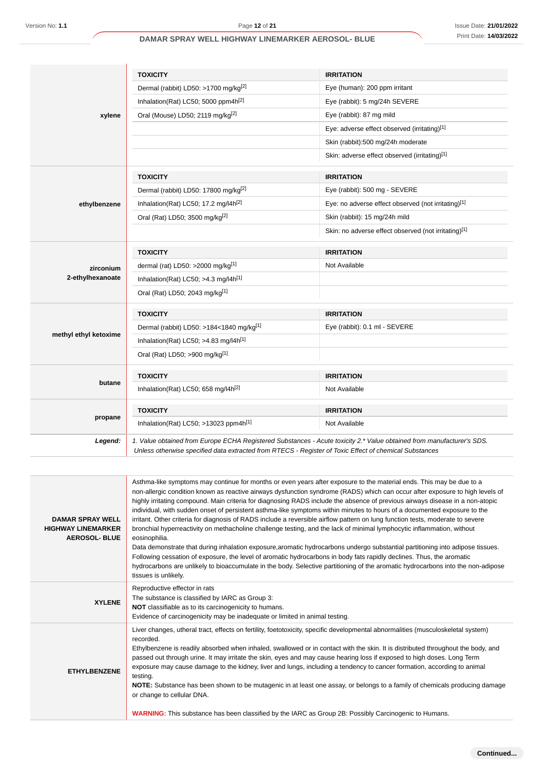| Version No: 1.1                                      |               | Page 12 of 21                                                                                                                                                                                                                                               |                                                      | Issue Date: 21/01/202 |
|------------------------------------------------------|---------------|-------------------------------------------------------------------------------------------------------------------------------------------------------------------------------------------------------------------------------------------------------------|------------------------------------------------------|-----------------------|
|                                                      |               | DAMAR SPRAY WELL HIGHWAY LINEMARKER AEROSOL- BLUE                                                                                                                                                                                                           |                                                      | Print Date: 14/03/202 |
|                                                      |               |                                                                                                                                                                                                                                                             |                                                      |                       |
|                                                      |               | <b>TOXICITY</b>                                                                                                                                                                                                                                             | <b>IRRITATION</b>                                    |                       |
|                                                      |               | Dermal (rabbit) LD50: >1700 mg/kg <sup>[2]</sup>                                                                                                                                                                                                            | Eye (human): 200 ppm irritant                        |                       |
|                                                      |               | Inhalation(Rat) LC50; 5000 ppm4h <sup>[2]</sup>                                                                                                                                                                                                             | Eye (rabbit): 5 mg/24h SEVERE                        |                       |
|                                                      | xylene        | Oral (Mouse) LD50; 2119 mg/kg <sup>[2]</sup>                                                                                                                                                                                                                | Eye (rabbit): 87 mg mild                             |                       |
|                                                      |               |                                                                                                                                                                                                                                                             | Eye: adverse effect observed (irritating)[1]         |                       |
|                                                      |               |                                                                                                                                                                                                                                                             | Skin (rabbit):500 mg/24h moderate                    |                       |
|                                                      |               |                                                                                                                                                                                                                                                             | Skin: adverse effect observed (irritating)[1]        |                       |
|                                                      |               | <b>TOXICITY</b>                                                                                                                                                                                                                                             | <b>IRRITATION</b>                                    |                       |
|                                                      |               | Dermal (rabbit) LD50: 17800 mg/kg <sup>[2]</sup>                                                                                                                                                                                                            | Eye (rabbit): 500 mg - SEVERE                        |                       |
|                                                      | ethylbenzene  | Inhalation(Rat) LC50; 17.2 mg/l4h <sup>[2]</sup>                                                                                                                                                                                                            | Eye: no adverse effect observed (not irritating)[1]  |                       |
|                                                      |               | Oral (Rat) LD50; 3500 mg/kg <sup>[2]</sup>                                                                                                                                                                                                                  | Skin (rabbit): 15 mg/24h mild                        |                       |
|                                                      |               |                                                                                                                                                                                                                                                             | Skin: no adverse effect observed (not irritating)[1] |                       |
|                                                      |               | <b>TOXICITY</b>                                                                                                                                                                                                                                             | <b>IRRITATION</b>                                    |                       |
|                                                      | zirconium     | dermal (rat) LD50: >2000 mg/kg <sup>[1]</sup>                                                                                                                                                                                                               | Not Available                                        |                       |
| 2-ethylhexanoate                                     |               | Inhalation(Rat) LC50; $>4.3$ mg/l4h <sup>[1]</sup>                                                                                                                                                                                                          |                                                      |                       |
|                                                      |               | Oral (Rat) LD50; 2043 mg/kg[1]                                                                                                                                                                                                                              |                                                      |                       |
|                                                      |               | <b>TOXICITY</b>                                                                                                                                                                                                                                             | <b>IRRITATION</b>                                    |                       |
|                                                      |               | Dermal (rabbit) LD50: >184<1840 mg/kg <sup>[1]</sup>                                                                                                                                                                                                        | Eye (rabbit): 0.1 ml - SEVERE                        |                       |
| methyl ethyl ketoxime                                |               | Inhalation(Rat) LC50; >4.83 mg/l4h <sup>[1]</sup>                                                                                                                                                                                                           |                                                      |                       |
|                                                      |               | Oral (Rat) LD50; >900 mg/kg[1]                                                                                                                                                                                                                              |                                                      |                       |
|                                                      |               | <b>TOXICITY</b>                                                                                                                                                                                                                                             | <b>IRRITATION</b>                                    |                       |
|                                                      | butane        | Inhalation(Rat) LC50; 658 mg/l4h <sup>[2]</sup>                                                                                                                                                                                                             | Not Available                                        |                       |
|                                                      |               | <b>TOXICITY</b>                                                                                                                                                                                                                                             | <b>IRRITATION</b>                                    |                       |
|                                                      | propane       | Inhalation(Rat) LC50; >13023 ppm4h <sup>[1]</sup>                                                                                                                                                                                                           | Not Available                                        |                       |
|                                                      | Legend:       | 1. Value obtained from Europe ECHA Registered Substances - Acute toxicity 2.* Value obtained from manufacturer's SDS.<br>Unless otherwise specified data extracted from RTECS - Register of Toxic Effect of chemical Substances                             |                                                      |                       |
|                                                      |               |                                                                                                                                                                                                                                                             |                                                      |                       |
|                                                      |               | Asthma-like symptoms may continue for months or even years after exposure to the material ends. This may be due to a<br>non-allergic condition known as reactive airways dysfunction syndrome (RADS) which can occur after exposure to high levels of       |                                                      |                       |
|                                                      |               | highly irritating compound. Main criteria for diagnosing RADS include the absence of previous airways disease in a non-atopic<br>individual, with sudden onset of persistent asthma-like symptoms within minutes to hours of a documented exposure to the   |                                                      |                       |
| <b>DAMAR SPRAY WELL</b><br><b>HIGHWAY LINEMARKER</b> |               | irritant. Other criteria for diagnosis of RADS include a reversible airflow pattern on lung function tests, moderate to severe<br>bronchial hyperreactivity on methacholine challenge testing, and the lack of minimal lymphocytic inflammation, without    |                                                      |                       |
| <b>AEROSOL- BLUE</b>                                 |               | eosinophilia.                                                                                                                                                                                                                                               |                                                      |                       |
|                                                      |               | Data demonstrate that during inhalation exposure, aromatic hydrocarbons undergo substantial partitioning into adipose tissues.<br>Following cessation of exposure, the level of aromatic hydrocarbons in body fats rapidly declines. Thus, the aromatic     |                                                      |                       |
|                                                      |               | hydrocarbons are unlikely to bioaccumulate in the body. Selective partitioning of the aromatic hydrocarbons into the non-adipose                                                                                                                            |                                                      |                       |
|                                                      |               | tissues is unlikely.<br>Reproductive effector in rats                                                                                                                                                                                                       |                                                      |                       |
|                                                      | <b>XYLENE</b> | The substance is classified by IARC as Group 3:                                                                                                                                                                                                             |                                                      |                       |
|                                                      |               | <b>NOT</b> classifiable as to its carcinogenicity to humans.<br>Evidence of carcinogenicity may be inadequate or limited in animal testing.                                                                                                                 |                                                      |                       |
|                                                      |               | Liver changes, utheral tract, effects on fertility, foetotoxicity, specific developmental abnormalities (musculoskeletal system)                                                                                                                            |                                                      |                       |
|                                                      |               | recorded.                                                                                                                                                                                                                                                   |                                                      |                       |
|                                                      |               | Ethylbenzene is readily absorbed when inhaled, swallowed or in contact with the skin. It is distributed throughout the body, and<br>passed out through urine. It may irritate the skin, eyes and may cause hearing loss if exposed to high doses. Long Term |                                                      |                       |
| <b>ETHYLBENZENE</b>                                  |               | exposure may cause damage to the kidney, liver and lungs, including a tendency to cancer formation, according to animal                                                                                                                                     |                                                      |                       |
|                                                      |               | testing.<br>NOTE: Substance has been shown to be mutagenic in at least one assay, or belongs to a family of chemicals producing damage<br>or change to cellular DNA.                                                                                        |                                                      |                       |
|                                                      |               | <b>WARNING:</b> This substance has been classified by the IARC as Group 2B: Possibly Carcinogenic to Humans.                                                                                                                                                |                                                      |                       |

| <b>DAMAR SPRAY WELL</b><br><b>HIGHWAY LINEMARKER</b><br><b>AEROSOL- BLUE</b> | Asthma-like symptoms may continue for months or even years after exposure to the material ends. This may be due to a<br>non-allergic condition known as reactive airways dysfunction syndrome (RADS) which can occur after exposure to high levels of<br>highly irritating compound. Main criteria for diagnosing RADS include the absence of previous airways disease in a non-atopic<br>individual, with sudden onset of persistent asthma-like symptoms within minutes to hours of a documented exposure to the<br>irritant. Other criteria for diagnosis of RADS include a reversible airflow pattern on lung function tests, moderate to severe<br>bronchial hyperreactivity on methacholine challenge testing, and the lack of minimal lymphocytic inflammation, without<br>eosinophilia.<br>Data demonstrate that during inhalation exposure, aromatic hydrocarbons undergo substantial partitioning into adipose tissues.<br>Following cessation of exposure, the level of aromatic hydrocarbons in body fats rapidly declines. Thus, the aromatic<br>hydrocarbons are unlikely to bioaccumulate in the body. Selective partitioning of the aromatic hydrocarbons into the non-adipose<br>tissues is unlikely. |
|------------------------------------------------------------------------------|------------------------------------------------------------------------------------------------------------------------------------------------------------------------------------------------------------------------------------------------------------------------------------------------------------------------------------------------------------------------------------------------------------------------------------------------------------------------------------------------------------------------------------------------------------------------------------------------------------------------------------------------------------------------------------------------------------------------------------------------------------------------------------------------------------------------------------------------------------------------------------------------------------------------------------------------------------------------------------------------------------------------------------------------------------------------------------------------------------------------------------------------------------------------------------------------------------------------|
| <b>XYLENE</b>                                                                | Reproductive effector in rats<br>The substance is classified by IARC as Group 3:<br>NOT classifiable as to its carcinogenicity to humans.<br>Evidence of carcinogenicity may be inadequate or limited in animal testing.                                                                                                                                                                                                                                                                                                                                                                                                                                                                                                                                                                                                                                                                                                                                                                                                                                                                                                                                                                                               |
| <b>ETHYLBENZENE</b>                                                          | Liver changes, utheral tract, effects on fertility, foetotoxicity, specific developmental abnormalities (musculoskeletal system)<br>recorded.<br>Ethylbenzene is readily absorbed when inhaled, swallowed or in contact with the skin. It is distributed throughout the body, and<br>passed out through urine. It may irritate the skin, eyes and may cause hearing loss if exposed to high doses. Long Term<br>exposure may cause damage to the kidney, liver and lungs, including a tendency to cancer formation, according to animal<br>testing.<br>NOTE: Substance has been shown to be mutagenic in at least one assay, or belongs to a family of chemicals producing damage<br>or change to cellular DNA.<br><b>WARNING:</b> This substance has been classified by the IARC as Group 2B: Possibly Carcinogenic to Humans.                                                                                                                                                                                                                                                                                                                                                                                        |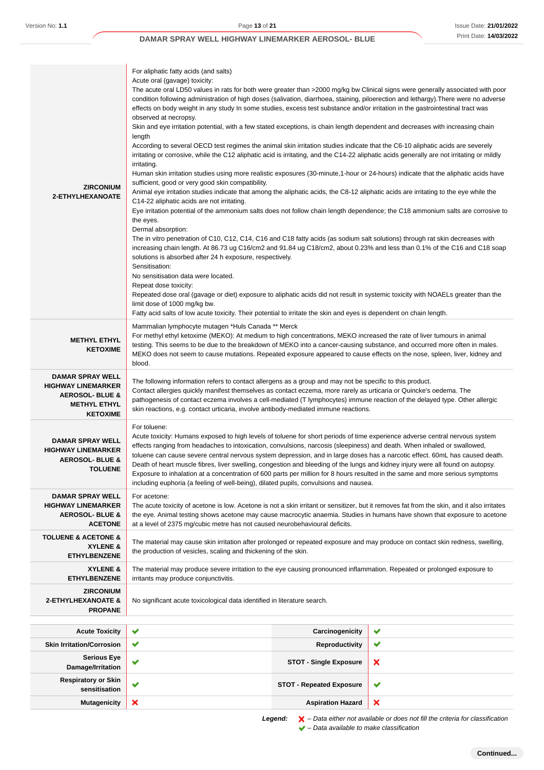| <b>ZIRCONIUM</b><br>2-ETHYLHEXANOATE                                                                                         | For aliphatic fatty acids (and salts)<br>Acute oral (gavage) toxicity:<br>The acute oral LD50 values in rats for both were greater than >2000 mg/kg bw Clinical signs were generally associated with poor<br>condition following administration of high doses (salivation, diarrhoea, staining, piloerection and lethargy). There were no adverse<br>effects on body weight in any study In some studies, excess test substance and/or irritation in the gastrointestinal tract was<br>observed at necropsy.<br>Skin and eye irritation potential, with a few stated exceptions, is chain length dependent and decreases with increasing chain<br>length<br>According to several OECD test regimes the animal skin irritation studies indicate that the C6-10 aliphatic acids are severely<br>irritating or corrosive, while the C12 aliphatic acid is irritating, and the C14-22 aliphatic acids generally are not irritating or mildly<br>irritating.<br>Human skin irritation studies using more realistic exposures (30-minute,1-hour or 24-hours) indicate that the aliphatic acids have<br>sufficient, good or very good skin compatibility.<br>Animal eye irritation studies indicate that among the aliphatic acids, the C8-12 aliphatic acids are irritating to the eye while the<br>C14-22 aliphatic acids are not irritating.<br>Eye irritation potential of the ammonium salts does not follow chain length dependence; the C18 ammonium salts are corrosive to<br>the eyes.<br>Dermal absorption:<br>The in vitro penetration of C10, C12, C14, C16 and C18 fatty acids (as sodium salt solutions) through rat skin decreases with<br>increasing chain length. At 86.73 ug C16/cm2 and 91.84 ug C18/cm2, about 0.23% and less than 0.1% of the C16 and C18 soap<br>solutions is absorbed after 24 h exposure, respectively.<br>Sensitisation:<br>No sensitisation data were located.<br>Repeat dose toxicity:<br>Repeated dose oral (gavage or diet) exposure to aliphatic acids did not result in systemic toxicity with NOAELs greater than the<br>limit dose of 1000 mg/kg bw.<br>Fatty acid salts of low acute toxicity. Their potential to irritate the skin and eyes is dependent on chain length. |                                 |   |
|------------------------------------------------------------------------------------------------------------------------------|-----------------------------------------------------------------------------------------------------------------------------------------------------------------------------------------------------------------------------------------------------------------------------------------------------------------------------------------------------------------------------------------------------------------------------------------------------------------------------------------------------------------------------------------------------------------------------------------------------------------------------------------------------------------------------------------------------------------------------------------------------------------------------------------------------------------------------------------------------------------------------------------------------------------------------------------------------------------------------------------------------------------------------------------------------------------------------------------------------------------------------------------------------------------------------------------------------------------------------------------------------------------------------------------------------------------------------------------------------------------------------------------------------------------------------------------------------------------------------------------------------------------------------------------------------------------------------------------------------------------------------------------------------------------------------------------------------------------------------------------------------------------------------------------------------------------------------------------------------------------------------------------------------------------------------------------------------------------------------------------------------------------------------------------------------------------------------------------------------------------------------------------------------------------------------------------------------------------------|---------------------------------|---|
| <b>METHYL ETHYL</b><br><b>KETOXIME</b>                                                                                       | Mammalian lymphocyte mutagen *Huls Canada ** Merck<br>For methyl ethyl ketoxime (MEKO): At medium to high concentrations, MEKO increased the rate of liver tumours in animal<br>testing. This seems to be due to the breakdown of MEKO into a cancer-causing substance, and occurred more often in males.<br>MEKO does not seem to cause mutations. Repeated exposure appeared to cause effects on the nose, spleen, liver, kidney and<br>blood.                                                                                                                                                                                                                                                                                                                                                                                                                                                                                                                                                                                                                                                                                                                                                                                                                                                                                                                                                                                                                                                                                                                                                                                                                                                                                                                                                                                                                                                                                                                                                                                                                                                                                                                                                                      |                                 |   |
| <b>DAMAR SPRAY WELL</b><br><b>HIGHWAY LINEMARKER</b><br><b>AEROSOL- BLUE &amp;</b><br><b>METHYL ETHYL</b><br><b>KETOXIME</b> | The following information refers to contact allergens as a group and may not be specific to this product.<br>Contact allergies quickly manifest themselves as contact eczema, more rarely as urticaria or Quincke's oedema. The<br>pathogenesis of contact eczema involves a cell-mediated (T lymphocytes) immune reaction of the delayed type. Other allergic<br>skin reactions, e.g. contact urticaria, involve antibody-mediated immune reactions.                                                                                                                                                                                                                                                                                                                                                                                                                                                                                                                                                                                                                                                                                                                                                                                                                                                                                                                                                                                                                                                                                                                                                                                                                                                                                                                                                                                                                                                                                                                                                                                                                                                                                                                                                                 |                                 |   |
| <b>DAMAR SPRAY WELL</b><br><b>HIGHWAY LINEMARKER</b><br><b>AEROSOL- BLUE &amp;</b><br><b>TOLUENE</b>                         | For toluene:<br>Acute toxicity: Humans exposed to high levels of toluene for short periods of time experience adverse central nervous system<br>effects ranging from headaches to intoxication, convulsions, narcosis (sleepiness) and death. When inhaled or swallowed,<br>toluene can cause severe central nervous system depression, and in large doses has a narcotic effect. 60mL has caused death.<br>Death of heart muscle fibres, liver swelling, congestion and bleeding of the lungs and kidney injury were all found on autopsy.<br>Exposure to inhalation at a concentration of 600 parts per million for 8 hours resulted in the same and more serious symptoms<br>including euphoria (a feeling of well-being), dilated pupils, convulsions and nausea.                                                                                                                                                                                                                                                                                                                                                                                                                                                                                                                                                                                                                                                                                                                                                                                                                                                                                                                                                                                                                                                                                                                                                                                                                                                                                                                                                                                                                                                 |                                 |   |
| <b>DAMAR SPRAY WELL</b><br><b>HIGHWAY LINEMARKER</b><br><b>AEROSOL- BLUE &amp;</b><br><b>ACETONE</b>                         | For acetone:<br>The acute toxicity of acetone is low. Acetone is not a skin irritant or sensitizer, but it removes fat from the skin, and it also irritates<br>the eye. Animal testing shows acetone may cause macrocytic anaemia. Studies in humans have shown that exposure to acetone<br>at a level of 2375 mg/cubic metre has not caused neurobehavioural deficits.                                                                                                                                                                                                                                                                                                                                                                                                                                                                                                                                                                                                                                                                                                                                                                                                                                                                                                                                                                                                                                                                                                                                                                                                                                                                                                                                                                                                                                                                                                                                                                                                                                                                                                                                                                                                                                               |                                 |   |
| <b>TOLUENE &amp; ACETONE &amp;</b><br>XYLENE &<br><b>ETHYLBENZENE</b>                                                        | The material may cause skin irritation after prolonged or repeated exposure and may produce on contact skin redness, swelling,<br>the production of vesicles, scaling and thickening of the skin.                                                                                                                                                                                                                                                                                                                                                                                                                                                                                                                                                                                                                                                                                                                                                                                                                                                                                                                                                                                                                                                                                                                                                                                                                                                                                                                                                                                                                                                                                                                                                                                                                                                                                                                                                                                                                                                                                                                                                                                                                     |                                 |   |
| XYLENE &<br><b>ETHYLBENZENE</b>                                                                                              | The material may produce severe irritation to the eye causing pronounced inflammation. Repeated or prolonged exposure to<br>irritants may produce conjunctivitis.                                                                                                                                                                                                                                                                                                                                                                                                                                                                                                                                                                                                                                                                                                                                                                                                                                                                                                                                                                                                                                                                                                                                                                                                                                                                                                                                                                                                                                                                                                                                                                                                                                                                                                                                                                                                                                                                                                                                                                                                                                                     |                                 |   |
| <b>ZIRCONIUM</b><br><b>2-ETHYLHEXANOATE &amp;</b><br><b>PROPANE</b>                                                          | No significant acute toxicological data identified in literature search.                                                                                                                                                                                                                                                                                                                                                                                                                                                                                                                                                                                                                                                                                                                                                                                                                                                                                                                                                                                                                                                                                                                                                                                                                                                                                                                                                                                                                                                                                                                                                                                                                                                                                                                                                                                                                                                                                                                                                                                                                                                                                                                                              |                                 |   |
| <b>Acute Toxicity</b>                                                                                                        | ✔                                                                                                                                                                                                                                                                                                                                                                                                                                                                                                                                                                                                                                                                                                                                                                                                                                                                                                                                                                                                                                                                                                                                                                                                                                                                                                                                                                                                                                                                                                                                                                                                                                                                                                                                                                                                                                                                                                                                                                                                                                                                                                                                                                                                                     | Carcinogenicity                 | ✔ |
| <b>Skin Irritation/Corrosion</b>                                                                                             | ✔                                                                                                                                                                                                                                                                                                                                                                                                                                                                                                                                                                                                                                                                                                                                                                                                                                                                                                                                                                                                                                                                                                                                                                                                                                                                                                                                                                                                                                                                                                                                                                                                                                                                                                                                                                                                                                                                                                                                                                                                                                                                                                                                                                                                                     | Reproductivity                  | ✔ |
| <b>Serious Eye</b><br>Damage/Irritation                                                                                      | ✔                                                                                                                                                                                                                                                                                                                                                                                                                                                                                                                                                                                                                                                                                                                                                                                                                                                                                                                                                                                                                                                                                                                                                                                                                                                                                                                                                                                                                                                                                                                                                                                                                                                                                                                                                                                                                                                                                                                                                                                                                                                                                                                                                                                                                     | <b>STOT - Single Exposure</b>   | × |
| <b>Respiratory or Skin</b><br>sensitisation                                                                                  | ✔                                                                                                                                                                                                                                                                                                                                                                                                                                                                                                                                                                                                                                                                                                                                                                                                                                                                                                                                                                                                                                                                                                                                                                                                                                                                                                                                                                                                                                                                                                                                                                                                                                                                                                                                                                                                                                                                                                                                                                                                                                                                                                                                                                                                                     | <b>STOT - Repeated Exposure</b> | ✔ |
| <b>Mutagenicity</b>                                                                                                          | ×                                                                                                                                                                                                                                                                                                                                                                                                                                                                                                                                                                                                                                                                                                                                                                                                                                                                                                                                                                                                                                                                                                                                                                                                                                                                                                                                                                                                                                                                                                                                                                                                                                                                                                                                                                                                                                                                                                                                                                                                                                                                                                                                                                                                                     | <b>Aspiration Hazard</b>        | × |

Legend:  $\mathsf{X}$  – Data either not available or does not fill the criteria for classification  $\blacktriangleright$  – Data available to make classification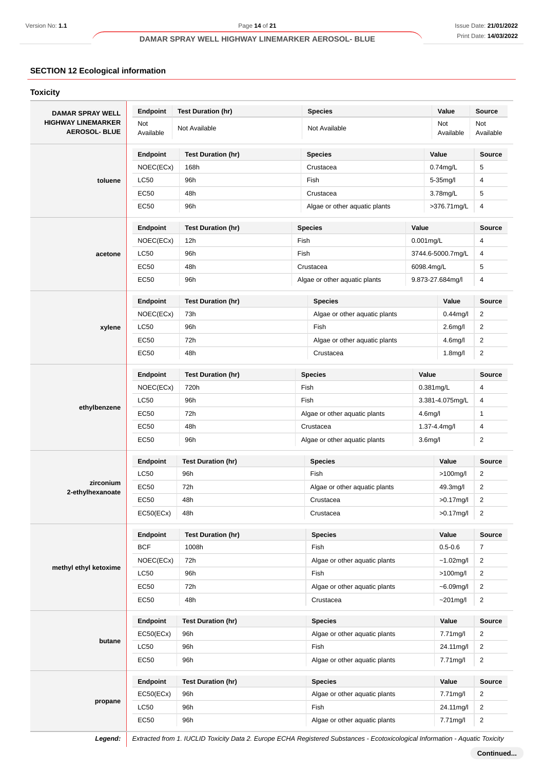# **SECTION 12 Ecological information**

| <b>DAMAR SPRAY WELL</b>                           | <b>Endpoint</b>  | <b>Test Duration (hr)</b> |                         | <b>Species</b>                                        |  | Value                | <b>Source</b>    |
|---------------------------------------------------|------------------|---------------------------|-------------------------|-------------------------------------------------------|--|----------------------|------------------|
| <b>HIGHWAY LINEMARKER</b><br><b>AEROSOL- BLUE</b> | Not<br>Available | Not Available             |                         | Not Available                                         |  | Not<br>Available     | Not<br>Available |
|                                                   | Endpoint         | <b>Test Duration (hr)</b> |                         | <b>Species</b>                                        |  | Value                | <b>Source</b>    |
|                                                   | NOEC(ECx)        | 168h                      |                         | Crustacea                                             |  | $0.74$ mg/L          | 5                |
| toluene                                           | <b>LC50</b>      | 96h                       |                         | Fish                                                  |  | 5-35mg/l             | 4                |
|                                                   | <b>EC50</b>      | 48h                       |                         | Crustacea                                             |  | 3.78mg/L             | 5                |
|                                                   | <b>EC50</b>      | 96h                       |                         | Algae or other aquatic plants                         |  | >376.71mg/L          | 4                |
|                                                   | Endpoint         | <b>Test Duration (hr)</b> | <b>Species</b><br>Value |                                                       |  | Source               |                  |
|                                                   | NOEC(ECx)        | 12h                       | Fish                    |                                                       |  | $0.001$ mg/L         | 4                |
| acetone                                           | <b>LC50</b>      | 96h                       | Fish                    |                                                       |  | 3744.6-5000.7mg/L    | 4                |
|                                                   | EC50             | 48h                       |                         | Crustacea                                             |  | 6098.4mg/L           | 5                |
|                                                   | EC50             | 96h                       |                         | Algae or other aquatic plants                         |  | 9.873-27.684mg/l     | 4                |
|                                                   | Endpoint         | <b>Test Duration (hr)</b> |                         | Species                                               |  | Value                | Source           |
|                                                   | NOEC(ECx)        | 73h                       |                         | Algae or other aquatic plants                         |  | $0.44$ mg/l          | $\overline{c}$   |
| xylene                                            | <b>LC50</b>      | 96h                       |                         | Fish                                                  |  | 2.6 <sub>mg</sub> /l | $\overline{2}$   |
|                                                   | <b>EC50</b>      | 72h                       |                         | Algae or other aquatic plants                         |  | 4.6 <sub>mq</sub> /l | $\overline{c}$   |
|                                                   | EC50             | 48h                       |                         | Crustacea                                             |  | 1.8 <sub>mg</sub> /l | $\overline{2}$   |
|                                                   | <b>Endpoint</b>  | <b>Test Duration (hr)</b> |                         | <b>Species</b>                                        |  | Value                | <b>Source</b>    |
|                                                   | NOEC(ECx)        | 720h                      |                         | Fish                                                  |  | $0.381$ mg/L         | 4                |
|                                                   | <b>LC50</b>      | 96h                       |                         | Fish                                                  |  | 3.381-4.075mg/L      | 4                |
| ethylbenzene                                      | EC50             | 72h                       |                         | Algae or other aquatic plants                         |  | 4.6 <sub>m</sub> g/l | $\mathbf{1}$     |
|                                                   | EC50             | 48h                       |                         | Crustacea                                             |  | 1.37-4.4mg/l         | 4                |
|                                                   | <b>EC50</b>      | 96h                       |                         | 3.6 <sub>m</sub> g/l<br>Algae or other aquatic plants |  | $\overline{c}$       |                  |
|                                                   | Endpoint         | <b>Test Duration (hr)</b> |                         | <b>Species</b>                                        |  | Value                | <b>Source</b>    |
|                                                   | <b>LC50</b>      | 96h                       |                         | Fish                                                  |  | $>100$ mg/l          | 2                |
| zirconium<br>2-ethylhexanoate                     | EC50             | 72h                       |                         | Algae or other aquatic plants                         |  | 49.3mg/l             | $\overline{c}$   |
|                                                   | EC50             | 48h                       |                         | Crustacea                                             |  | $>0.17$ mg/l         | 2                |
|                                                   | EC50(ECx)        | 48h                       |                         | Crustacea                                             |  | $>0.17$ mg/l         | $\overline{2}$   |
|                                                   | Endpoint         | <b>Test Duration (hr)</b> |                         | <b>Species</b>                                        |  | Value                | <b>Source</b>    |
|                                                   | <b>BCF</b>       | 1008h                     |                         | Fish                                                  |  | $0.5 - 0.6$          | $\overline{7}$   |
| methyl ethyl ketoxime                             | NOEC(ECx)        | 72h                       |                         | Algae or other aquatic plants                         |  | $~1.02$ mg/l         | $\overline{2}$   |
|                                                   | LC50             | 96h                       |                         | Fish                                                  |  | $>100$ mg/l          | $\overline{2}$   |
|                                                   | EC50             | 72h                       |                         | Algae or other aquatic plants                         |  | $-6.09$ mg/l         | $\overline{2}$   |
|                                                   | EC50             | 48h                       |                         | Crustacea                                             |  | $~201$ mg/l          | $\overline{2}$   |
|                                                   | Endpoint         | <b>Test Duration (hr)</b> |                         | <b>Species</b>                                        |  | Value                | Source           |
|                                                   | EC50(ECx)        | 96h                       |                         | Algae or other aquatic plants                         |  | 7.71mg/l             | 2                |
| butane                                            | <b>LC50</b>      | 96h                       |                         | Fish                                                  |  | 24.11mg/l            | $\overline{2}$   |
|                                                   | EC50             | 96h                       |                         | Algae or other aquatic plants                         |  | 7.71mg/l             | $\overline{2}$   |
|                                                   |                  |                           |                         | <b>Species</b>                                        |  | Value                | <b>Source</b>    |
|                                                   | Endpoint         | <b>Test Duration (hr)</b> |                         |                                                       |  |                      |                  |
|                                                   | EC50(ECx)        | 96h                       |                         | Algae or other aquatic plants                         |  | 7.71mg/l             | 2                |
| propane                                           | <b>LC50</b>      | 96h                       |                         | Fish                                                  |  | 24.11mg/l            | 2                |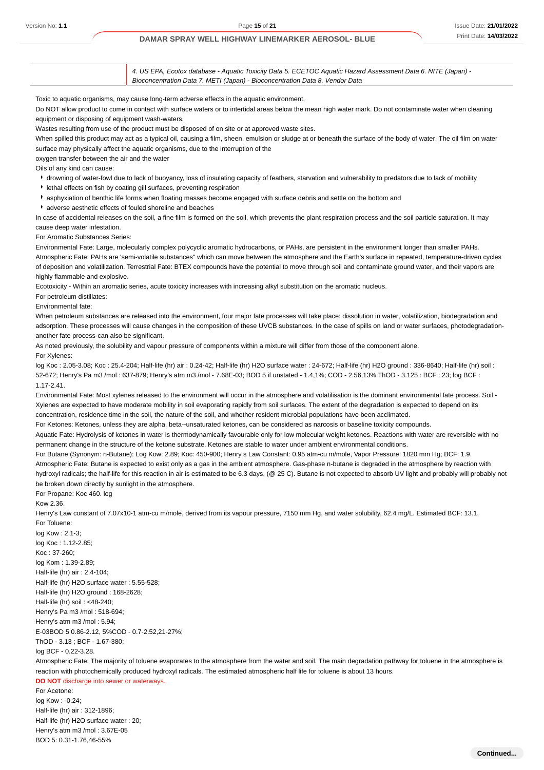4. US EPA, Ecotox database - Aquatic Toxicity Data 5. ECETOC Aquatic Hazard Assessment Data 6. NITE (Japan) - Bioconcentration Data 7. METI (Japan) - Bioconcentration Data 8. Vendor Data

Toxic to aquatic organisms, may cause long-term adverse effects in the aquatic environment.

Do NOT allow product to come in contact with surface waters or to intertidal areas below the mean high water mark. Do not contaminate water when cleaning equipment or disposing of equipment wash-waters.

Wastes resulting from use of the product must be disposed of on site or at approved waste sites.

When spilled this product may act as a typical oil, causing a film, sheen, emulsion or sludge at or beneath the surface of the body of water. The oil film on water surface may physically affect the aquatic organisms, due to the interruption of the

oxygen transfer between the air and the water

Oils of any kind can cause:

- drowning of water-fowl due to lack of buoyancy, loss of insulating capacity of feathers, starvation and vulnerability to predators due to lack of mobility
- lethal effects on fish by coating gill surfaces, preventing respiration
- asphyxiation of benthic life forms when floating masses become engaged with surface debris and settle on the bottom and
- adverse aesthetic effects of fouled shoreline and beaches

In case of accidental releases on the soil, a fine film is formed on the soil, which prevents the plant respiration process and the soil particle saturation. It may cause deep water infestation.

#### For Aromatic Substances Series:

Environmental Fate: Large, molecularly complex polycyclic aromatic hydrocarbons, or PAHs, are persistent in the environment longer than smaller PAHs. Atmospheric Fate: PAHs are 'semi-volatile substances" which can move between the atmosphere and the Earth's surface in repeated, temperature-driven cycles of deposition and volatilization. Terrestrial Fate: BTEX compounds have the potential to move through soil and contaminate ground water, and their vapors are highly flammable and explosive.

Ecotoxicity - Within an aromatic series, acute toxicity increases with increasing alkyl substitution on the aromatic nucleus.

For petroleum distillates:

Environmental fate:

When petroleum substances are released into the environment, four major fate processes will take place: dissolution in water, volatilization, biodegradation and adsorption. These processes will cause changes in the composition of these UVCB substances. In the case of spills on land or water surfaces, photodegradationanother fate process-can also be significant.

As noted previously, the solubility and vapour pressure of components within a mixture will differ from those of the component alone.

For Xylenes:

log Koc : 2.05-3.08; Koc : 25.4-204; Half-life (hr) air : 0.24-42; Half-life (hr) H2O surface water : 24-672; Half-life (hr) H2O ground : 336-8640; Half-life (hr) soil : 52-672; Henry's Pa m3 /mol : 637-879; Henry's atm m3 /mol - 7.68E-03; BOD 5 if unstated - 1.4,1%; COD - 2.56,13% ThOD - 3.125 : BCF : 23; log BCF : 1.17-2.41.

Environmental Fate: Most xylenes released to the environment will occur in the atmosphere and volatilisation is the dominant environmental fate process. Soil - Xylenes are expected to have moderate mobility in soil evaporating rapidly from soil surfaces. The extent of the degradation is expected to depend on its concentration, residence time in the soil, the nature of the soil, and whether resident microbial populations have been acclimated.

For Ketones: Ketones, unless they are alpha, beta--unsaturated ketones, can be considered as narcosis or baseline toxicity compounds.

Aquatic Fate: Hydrolysis of ketones in water is thermodynamically favourable only for low molecular weight ketones. Reactions with water are reversible with no permanent change in the structure of the ketone substrate. Ketones are stable to water under ambient environmental conditions.

For Butane (Synonym: n-Butane): Log Kow: 2.89; Koc: 450-900; Henry s Law Constant: 0.95 atm-cu m/mole, Vapor Pressure: 1820 mm Hg; BCF: 1.9. Atmospheric Fate: Butane is expected to exist only as a gas in the ambient atmosphere. Gas-phase n-butane is degraded in the atmosphere by reaction with hydroxyl radicals; the half-life for this reaction in air is estimated to be 6.3 days, (@ 25 C). Butane is not expected to absorb UV light and probably will probably not be broken down directly by sunlight in the atmosphere.

For Propane: Koc 460. log

Kow 2.36.

Henry's Law constant of 7.07x10-1 atm-cu m/mole, derived from its vapour pressure, 7150 mm Hg, and water solubility, 62.4 mg/L. Estimated BCF: 13.1. For Toluene:

log Kow : 2.1-3; log Koc : 1.12-2.85; Koc : 37-260; log Kom : 1.39-2.89; Half-life (hr) air : 2.4-104; Half-life (hr) H2O surface water : 5.55-528; Half-life (hr) H2O ground : 168-2628; Half-life (hr) soil : <48-240; Henry's Pa m3 /mol : 518-694; Henry's atm m3 /mol : 5.94; E-03BOD 5 0.86-2.12, 5%COD - 0.7-2.52,21-27%; ThOD - 3.13 ; BCF - 1.67-380; log BCF - 0.22-3.28.

Atmospheric Fate: The majority of toluene evaporates to the atmosphere from the water and soil. The main degradation pathway for toluene in the atmosphere is reaction with photochemically produced hydroxyl radicals. The estimated atmospheric half life for toluene is about 13 hours.

**DO NOT** discharge into sewer or waterways.

For Acetone:  $\ln A$  Kow : -0.24; Half-life (hr) air : 312-1896; Half-life (hr) H2O surface water : 20; Henry's atm m3 /mol : 3.67E-05 BOD 5: 0.31-1.76,46-55%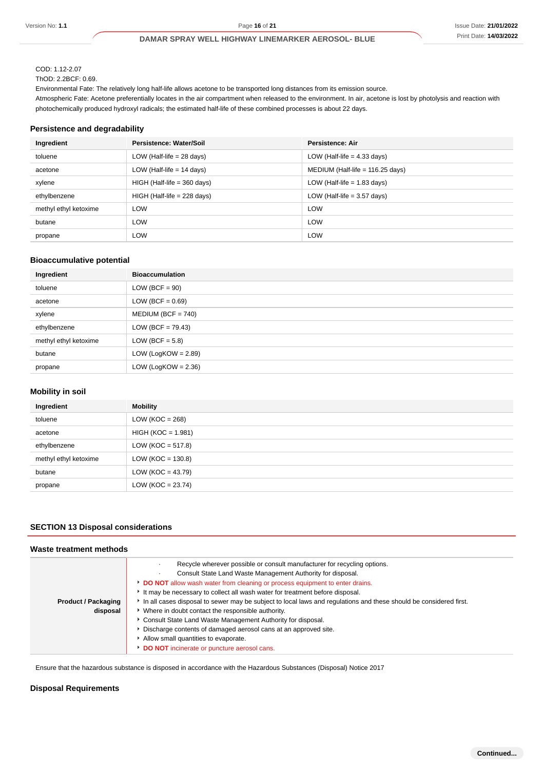# COD: 1.12-2.07

ThOD: 2.2BCF: 0.69.

Environmental Fate: The relatively long half-life allows acetone to be transported long distances from its emission source.

Atmospheric Fate: Acetone preferentially locates in the air compartment when released to the environment. In air, acetone is lost by photolysis and reaction with photochemically produced hydroxyl radicals; the estimated half-life of these combined processes is about 22 days.

### **Persistence and degradability**

| Ingredient            | Persistence: Water/Soil       | Persistence: Air                   |
|-----------------------|-------------------------------|------------------------------------|
| toluene               | LOW (Half-life $= 28$ days)   | LOW (Half-life $=$ 4.33 days)      |
| acetone               | LOW (Half-life $= 14$ days)   | MEDIUM (Half-life = $116.25$ days) |
| xylene                | $HIGH$ (Half-life = 360 days) | LOW (Half-life $= 1.83$ days)      |
| ethylbenzene          | $HIGH$ (Half-life = 228 days) | LOW (Half-life $=$ 3.57 days)      |
| methyl ethyl ketoxime | <b>LOW</b>                    | <b>LOW</b>                         |
| butane                | <b>LOW</b>                    | <b>LOW</b>                         |
| propane               | <b>LOW</b>                    | <b>LOW</b>                         |

### **Bioaccumulative potential**

| Ingredient            | <b>Bioaccumulation</b> |
|-----------------------|------------------------|
| toluene               | $LOW (BCF = 90)$       |
| acetone               | LOW (BCF = $0.69$ )    |
| xylene                | $MEDIUM (BCF = 740)$   |
| ethylbenzene          | $LOW (BCF = 79.43)$    |
| methyl ethyl ketoxime | LOW (BCF = $5.8$ )     |
| butane                | LOW (LogKOW = $2.89$ ) |
| propane               | LOW (LogKOW = $2.36$ ) |

### **Mobility in soil**

| Ingredient            | <b>Mobility</b>      |
|-----------------------|----------------------|
| toluene               | LOW ( $KOC = 268$ )  |
| acetone               | $HIGH (KOC = 1.981)$ |
| ethylbenzene          | LOW (KOC = $517.8$ ) |
| methyl ethyl ketoxime | $LOW (KOC = 130.8)$  |
| butane                | LOW (KOC = $43.79$ ) |
| propane               | $LOW (KOC = 23.74)$  |

## **SECTION 13 Disposal considerations**

#### **Waste treatment methods**

|                            | Recycle wherever possible or consult manufacturer for recycling options.                                          |
|----------------------------|-------------------------------------------------------------------------------------------------------------------|
|                            | Consult State Land Waste Management Authority for disposal.                                                       |
|                            | DO NOT allow wash water from cleaning or process equipment to enter drains.                                       |
|                            | It may be necessary to collect all wash water for treatment before disposal.                                      |
| <b>Product / Packaging</b> | In all cases disposal to sewer may be subject to local laws and regulations and these should be considered first. |
| disposal                   | • Where in doubt contact the responsible authority.                                                               |
|                            | Consult State Land Waste Management Authority for disposal.                                                       |
|                            | Discharge contents of damaged aerosol cans at an approved site.                                                   |
|                            | Allow small quantities to evaporate.                                                                              |
|                            | DO NOT incinerate or puncture aerosol cans.                                                                       |

Ensure that the hazardous substance is disposed in accordance with the Hazardous Substances (Disposal) Notice 2017

### **Disposal Requirements**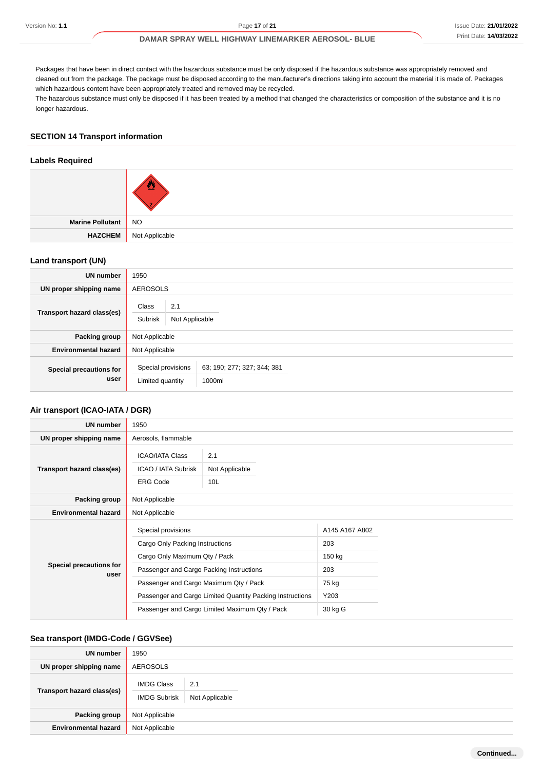Packages that have been in direct contact with the hazardous substance must be only disposed if the hazardous substance was appropriately removed and cleaned out from the package. The package must be disposed according to the manufacturer's directions taking into account the material it is made of. Packages which hazardous content have been appropriately treated and removed may be recycled. The hazardous substance must only be disposed if it has been treated by a method that changed the characteristics or composition of the substance and it is no longer hazardous.

### **SECTION 14 Transport information**

#### **Labels Required**

| Marine Pollutant NO |                               |
|---------------------|-------------------------------|
|                     | <b>HAZCHEM</b> Not Applicable |

### **Land transport (UN)**

| <b>UN number</b>                | 1950                                      |                                       |  |  |
|---------------------------------|-------------------------------------------|---------------------------------------|--|--|
| UN proper shipping name         | <b>AEROSOLS</b>                           |                                       |  |  |
| Transport hazard class(es)      | Class<br>2.1<br>Subrisk<br>Not Applicable |                                       |  |  |
| Packing group                   | Not Applicable                            |                                       |  |  |
| <b>Environmental hazard</b>     | Not Applicable                            |                                       |  |  |
| Special precautions for<br>user | Special provisions<br>Limited quantity    | 63; 190; 277; 327; 344; 381<br>1000ml |  |  |

### **Air transport (ICAO-IATA / DGR)**

| <b>UN number</b>                | 1950                                                                                                                                                                                                                                                                                        |                              |                                                                    |  |
|---------------------------------|---------------------------------------------------------------------------------------------------------------------------------------------------------------------------------------------------------------------------------------------------------------------------------------------|------------------------------|--------------------------------------------------------------------|--|
| UN proper shipping name         | Aerosols, flammable                                                                                                                                                                                                                                                                         |                              |                                                                    |  |
| Transport hazard class(es)      | <b>ICAO/IATA Class</b><br>ICAO / IATA Subrisk<br><b>ERG Code</b>                                                                                                                                                                                                                            | 2.1<br>Not Applicable<br>10L |                                                                    |  |
| Packing group                   | Not Applicable                                                                                                                                                                                                                                                                              |                              |                                                                    |  |
| <b>Environmental hazard</b>     | Not Applicable                                                                                                                                                                                                                                                                              |                              |                                                                    |  |
| Special precautions for<br>user | Special provisions<br>Cargo Only Packing Instructions<br>Cargo Only Maximum Qty / Pack<br>Passenger and Cargo Packing Instructions<br>Passenger and Cargo Maximum Qty / Pack<br>Passenger and Cargo Limited Quantity Packing Instructions<br>Passenger and Cargo Limited Maximum Qty / Pack |                              | A145 A167 A802<br>203<br>150 kg<br>203<br>75 kg<br>Y203<br>30 kg G |  |

#### **Sea transport (IMDG-Code / GGVSee)**

| <b>UN number</b>            | 1950                                     |                       |  |  |
|-----------------------------|------------------------------------------|-----------------------|--|--|
| UN proper shipping name     | AEROSOLS                                 |                       |  |  |
| Transport hazard class(es)  | <b>IMDG Class</b><br><b>IMDG Subrisk</b> | 2.1<br>Not Applicable |  |  |
| Packing group               | Not Applicable                           |                       |  |  |
| <b>Environmental hazard</b> | Not Applicable                           |                       |  |  |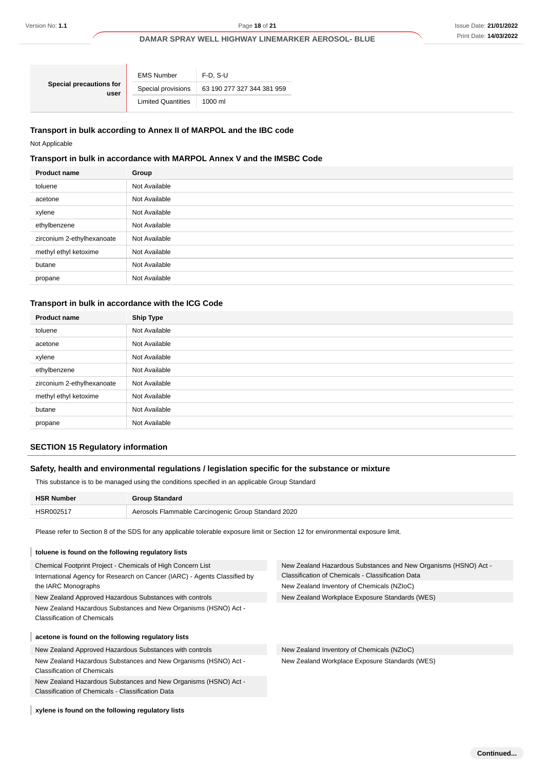| Special precautions for<br>user | <b>EMS Number</b>                                | $F-D. S-U$        |  |
|---------------------------------|--------------------------------------------------|-------------------|--|
|                                 | 63 190 277 327 344 381 959<br>Special provisions |                   |  |
|                                 | <b>Limited Quantities</b>                        | $1000 \mathrm{m}$ |  |

# **Transport in bulk according to Annex II of MARPOL and the IBC code** Not Applicable

### **Transport in bulk in accordance with MARPOL Annex V and the IMSBC Code**

| <b>Product name</b>        | Group         |
|----------------------------|---------------|
| toluene                    | Not Available |
| acetone                    | Not Available |
| xylene                     | Not Available |
| ethylbenzene               | Not Available |
| zirconium 2-ethylhexanoate | Not Available |
| methyl ethyl ketoxime      | Not Available |
| butane                     | Not Available |
| propane                    | Not Available |
|                            |               |

#### **Transport in bulk in accordance with the ICG Code**

| <b>Product name</b>        | <b>Ship Type</b> |
|----------------------------|------------------|
| toluene                    | Not Available    |
| acetone                    | Not Available    |
| xylene                     | Not Available    |
| ethylbenzene               | Not Available    |
| zirconium 2-ethylhexanoate | Not Available    |
| methyl ethyl ketoxime      | Not Available    |
| butane                     | Not Available    |
| propane                    | Not Available    |

### **SECTION 15 Regulatory information**

#### **Safety, health and environmental regulations / legislation specific for the substance or mixture**

| <b>HSR Number</b> | <b>Group Standard</b>                               |
|-------------------|-----------------------------------------------------|
| HSR002517         | Aerosols Flammable Carcinogenic Group Standard 2020 |

| Version No: 1.1                                                                                                                          |                           | Page 18 of 21                                       |                                                                                                                                  | <b>Issue Date: 21/01/20</b> |
|------------------------------------------------------------------------------------------------------------------------------------------|---------------------------|-----------------------------------------------------|----------------------------------------------------------------------------------------------------------------------------------|-----------------------------|
|                                                                                                                                          |                           |                                                     | <b>DAMAR SPRAY WELL HIGHWAY LINEMARKER AEROSOL- BLUE</b>                                                                         | Print Date: 14/03/20        |
|                                                                                                                                          |                           |                                                     |                                                                                                                                  |                             |
|                                                                                                                                          | <b>EMS Number</b>         | $F-D, S-U$                                          |                                                                                                                                  |                             |
| <b>Special precautions for</b>                                                                                                           | Special provisions        | 63 190 277 327 344 381 959                          |                                                                                                                                  |                             |
| user                                                                                                                                     | <b>Limited Quantities</b> | 1000 ml                                             |                                                                                                                                  |                             |
|                                                                                                                                          |                           |                                                     |                                                                                                                                  |                             |
| Transport in bulk according to Annex II of MARPOL and the IBC code                                                                       |                           |                                                     |                                                                                                                                  |                             |
| Not Applicable                                                                                                                           |                           |                                                     |                                                                                                                                  |                             |
| Transport in bulk in accordance with MARPOL Annex V and the IMSBC Code                                                                   |                           |                                                     |                                                                                                                                  |                             |
| <b>Product name</b>                                                                                                                      | Group                     |                                                     |                                                                                                                                  |                             |
| toluene                                                                                                                                  | Not Available             |                                                     |                                                                                                                                  |                             |
| acetone                                                                                                                                  | Not Available             |                                                     |                                                                                                                                  |                             |
| xylene                                                                                                                                   | Not Available             |                                                     |                                                                                                                                  |                             |
| ethylbenzene                                                                                                                             | Not Available             |                                                     |                                                                                                                                  |                             |
| zirconium 2-ethylhexanoate                                                                                                               | Not Available             |                                                     |                                                                                                                                  |                             |
| methyl ethyl ketoxime                                                                                                                    | Not Available             |                                                     |                                                                                                                                  |                             |
| butane                                                                                                                                   | Not Available             |                                                     |                                                                                                                                  |                             |
| propane                                                                                                                                  | Not Available             |                                                     |                                                                                                                                  |                             |
|                                                                                                                                          |                           |                                                     |                                                                                                                                  |                             |
| Transport in bulk in accordance with the ICG Code                                                                                        |                           |                                                     |                                                                                                                                  |                             |
| <b>Product name</b>                                                                                                                      | <b>Ship Type</b>          |                                                     |                                                                                                                                  |                             |
| toluene                                                                                                                                  | Not Available             |                                                     |                                                                                                                                  |                             |
| acetone                                                                                                                                  | Not Available             |                                                     |                                                                                                                                  |                             |
| xylene                                                                                                                                   | Not Available             |                                                     |                                                                                                                                  |                             |
| ethylbenzene                                                                                                                             | Not Available             |                                                     |                                                                                                                                  |                             |
| zirconium 2-ethylhexanoate                                                                                                               | Not Available             |                                                     |                                                                                                                                  |                             |
| methyl ethyl ketoxime                                                                                                                    | Not Available             |                                                     |                                                                                                                                  |                             |
| butane                                                                                                                                   | Not Available             |                                                     |                                                                                                                                  |                             |
| propane                                                                                                                                  | Not Available             |                                                     |                                                                                                                                  |                             |
| <b>SECTION 15 Regulatory information</b>                                                                                                 |                           |                                                     |                                                                                                                                  |                             |
|                                                                                                                                          |                           |                                                     |                                                                                                                                  |                             |
| This substance is to be managed using the conditions specified in an applicable Group Standard                                           |                           |                                                     | Safety, health and environmental regulations / legislation specific for the substance or mixture                                 |                             |
|                                                                                                                                          |                           |                                                     |                                                                                                                                  |                             |
| <b>HSR Number</b>                                                                                                                        | <b>Group Standard</b>     |                                                     |                                                                                                                                  |                             |
| HSR002517                                                                                                                                |                           | Aerosols Flammable Carcinogenic Group Standard 2020 |                                                                                                                                  |                             |
|                                                                                                                                          |                           |                                                     | Please refer to Section 8 of the SDS for any applicable tolerable exposure limit or Section 12 for environmental exposure limit. |                             |
| toluene is found on the following regulatory lists                                                                                       |                           |                                                     |                                                                                                                                  |                             |
| Chemical Footprint Project - Chemicals of High Concern List<br>International Agency for Research on Cancer (IARC) - Agents Classified by |                           |                                                     | New Zealand Hazardous Substances and New Organisms (HSNO) Act -<br>Classification of Chemicals - Classification Data             |                             |
| the IARC Monographs                                                                                                                      |                           |                                                     | New Zealand Inventory of Chemicals (NZIoC)                                                                                       |                             |
| New Zealand Approved Hazardous Substances with controls                                                                                  |                           |                                                     | New Zealand Workplace Exposure Standards (WES)                                                                                   |                             |
| New Zealand Hazardous Substances and New Organisms (HSNO) Act -<br><b>Classification of Chemicals</b>                                    |                           |                                                     |                                                                                                                                  |                             |
| acetone is found on the following regulatory lists                                                                                       |                           |                                                     |                                                                                                                                  |                             |
| New Zealand Approved Hazardous Substances with controls                                                                                  |                           |                                                     | New Zealand Inventory of Chemicals (NZIoC)                                                                                       |                             |
| New Zealand Hazardous Substances and New Organisms (HSNO) Act -                                                                          |                           |                                                     | New Zealand Workplace Exposure Standards (WES)                                                                                   |                             |
| <b>Classification of Chemicals</b><br>New Zealand Hazardous Substances and New Organisms (HSNO) Act -                                    |                           |                                                     |                                                                                                                                  |                             |
| Classification of Chemicals - Classification Data                                                                                        |                           |                                                     |                                                                                                                                  |                             |
|                                                                                                                                          |                           |                                                     |                                                                                                                                  |                             |
| xylene is found on the following regulatory lists                                                                                        |                           |                                                     |                                                                                                                                  |                             |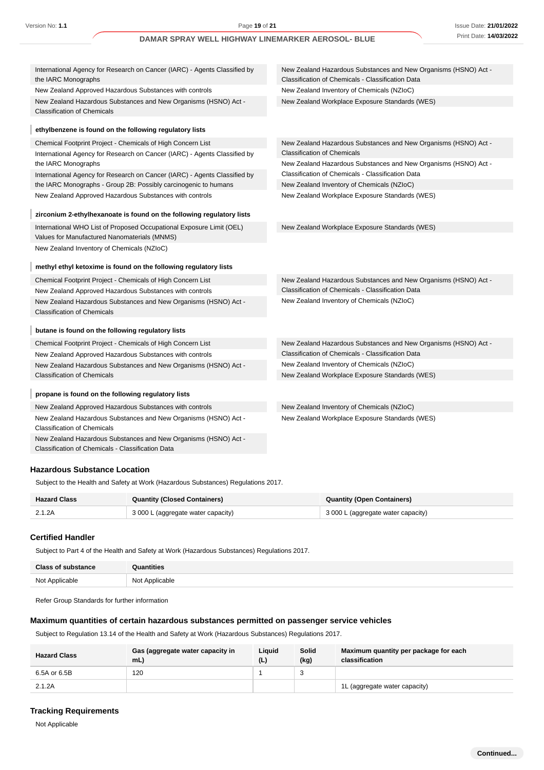| International Agency for Research on Cancer (IARC) - Agents Classified by<br>the IARC Monographs      | New Zealand Hazardous Substances and New Organisms (HSNO) Act -<br>Classification of Chemicals - Classification Data |
|-------------------------------------------------------------------------------------------------------|----------------------------------------------------------------------------------------------------------------------|
| New Zealand Approved Hazardous Substances with controls                                               | New Zealand Inventory of Chemicals (NZIoC)                                                                           |
| New Zealand Hazardous Substances and New Organisms (HSNO) Act -<br><b>Classification of Chemicals</b> | New Zealand Workplace Exposure Standards (WES)                                                                       |
| ethylbenzene is found on the following regulatory lists                                               |                                                                                                                      |
| Chemical Footprint Project - Chemicals of High Concern List                                           | New Zealand Hazardous Substances and New Organisms (HSNO) Act -                                                      |
| International Agency for Research on Cancer (IARC) - Agents Classified by                             | <b>Classification of Chemicals</b>                                                                                   |
| the IARC Monographs                                                                                   | New Zealand Hazardous Substances and New Organisms (HSNO) Act -                                                      |
| International Agency for Research on Cancer (IARC) - Agents Classified by                             | Classification of Chemicals - Classification Data                                                                    |
| the IARC Monographs - Group 2B: Possibly carcinogenic to humans                                       | New Zealand Inventory of Chemicals (NZIoC)                                                                           |
| New Zealand Approved Hazardous Substances with controls                                               | New Zealand Workplace Exposure Standards (WES)                                                                       |
| zirconium 2-ethylhexanoate is found on the following regulatory lists                                 |                                                                                                                      |
| International WHO List of Proposed Occupational Exposure Limit (OEL)                                  | New Zealand Workplace Exposure Standards (WES)                                                                       |
| Values for Manufactured Nanomaterials (MNMS)                                                          |                                                                                                                      |
| New Zealand Inventory of Chemicals (NZIoC)                                                            |                                                                                                                      |
|                                                                                                       |                                                                                                                      |
| methyl ethyl ketoxime is found on the following regulatory lists                                      |                                                                                                                      |
| Chemical Footprint Project - Chemicals of High Concern List                                           | New Zealand Hazardous Substances and New Organisms (HSNO) Act -                                                      |
| New Zealand Approved Hazardous Substances with controls                                               | Classification of Chemicals - Classification Data                                                                    |
| New Zealand Hazardous Substances and New Organisms (HSNO) Act -<br><b>Classification of Chemicals</b> | New Zealand Inventory of Chemicals (NZIoC)                                                                           |
| butane is found on the following regulatory lists                                                     |                                                                                                                      |
| Chemical Footprint Project - Chemicals of High Concern List                                           | New Zealand Hazardous Substances and New Organisms (HSNO) Act -                                                      |
| New Zealand Approved Hazardous Substances with controls                                               | Classification of Chemicals - Classification Data                                                                    |
| New Zealand Hazardous Substances and New Organisms (HSNO) Act -                                       | New Zealand Inventory of Chemicals (NZIoC)                                                                           |
| <b>Classification of Chemicals</b>                                                                    | New Zealand Workplace Exposure Standards (WES)                                                                       |
| propane is found on the following regulatory lists                                                    |                                                                                                                      |
| New Zealand Approved Hazardous Substances with controls                                               | New Zealand Inventory of Chemicals (NZIoC)                                                                           |
| New Zealand Hazardous Substances and New Organisms (HSNO) Act -                                       | New Zealand Workplace Exposure Standards (WES)                                                                       |
| <b>Classification of Chemicals</b>                                                                    |                                                                                                                      |
| New Zealand Hazardous Substances and New Organisms (HSNO) Act -                                       |                                                                                                                      |
| Classification of Chemicals - Classification Data                                                     |                                                                                                                      |
|                                                                                                       |                                                                                                                      |
| <b>Hazardous Substance Location</b>                                                                   |                                                                                                                      |

Subject to the Health and Safety at Work (Hazardous Substances) Regulations 2017.

| <b>Hazard Class</b> | <b>Quantity (Closed Containers)</b> | Quantity (Open Containers)         |  |
|---------------------|-------------------------------------|------------------------------------|--|
| 2.1.2A              | 3 000 L (aggregate water capacity)  | 3 000 L (aggregate water capacity) |  |

### **Certified Handler**

Subject to Part 4 of the Health and Safety at Work (Hazardous Substances) Regulations 2017.

| <b>Class of substance</b> | <b>Quantities</b> |
|---------------------------|-------------------|
| Not Applicable            | Not Applicable    |

Refer Group Standards for further information

### **Maximum quantities of certain hazardous substances permitted on passenger service vehicles**

Subject to Regulation 13.14 of the Health and Safety at Work (Hazardous Substances) Regulations 2017.

| <b>Hazard Class</b> | Gas (aggregate water capacity in<br>mL | Liquid<br>(L) | Solid<br>(kg) | Maximum quantity per package for each<br>classification |
|---------------------|----------------------------------------|---------------|---------------|---------------------------------------------------------|
| 6.5A or 6.5B        | 120                                    |               |               |                                                         |
| 2.1.2A              |                                        |               |               | 1L (aggregate water capacity)                           |

### **Tracking Requirements**

Not Applicable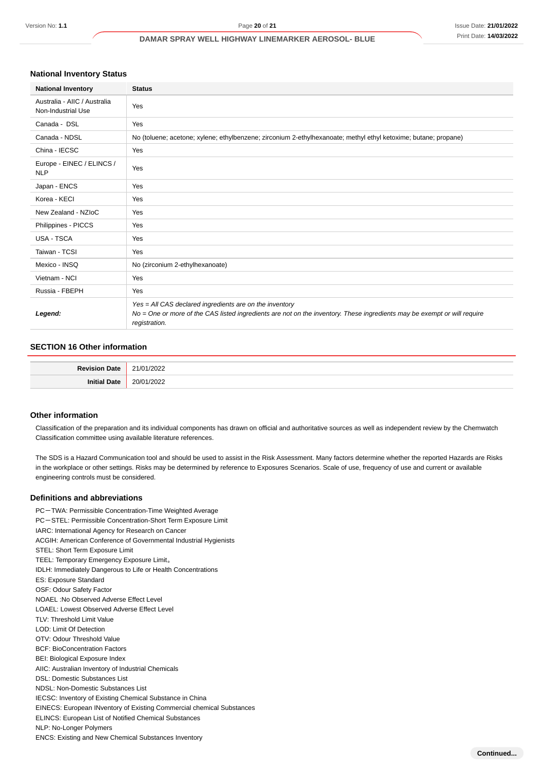# **National Inventory Status**

| <b>National Inventory</b>                          | <b>Status</b>                                                                                                                                                                                        |
|----------------------------------------------------|------------------------------------------------------------------------------------------------------------------------------------------------------------------------------------------------------|
| Australia - AIIC / Australia<br>Non-Industrial Use | Yes                                                                                                                                                                                                  |
| Canada - DSL                                       | Yes                                                                                                                                                                                                  |
| Canada - NDSL                                      | No (toluene; acetone; xylene; ethylbenzene; zirconium 2-ethylhexanoate; methyl ethyl ketoxime; butane; propane)                                                                                      |
| China - IECSC                                      | Yes                                                                                                                                                                                                  |
| Europe - EINEC / ELINCS /<br><b>NLP</b>            | Yes                                                                                                                                                                                                  |
| Japan - ENCS                                       | Yes                                                                                                                                                                                                  |
| Korea - KECI                                       | Yes                                                                                                                                                                                                  |
| New Zealand - NZIoC                                | Yes                                                                                                                                                                                                  |
| Philippines - PICCS                                | Yes                                                                                                                                                                                                  |
| USA - TSCA                                         | Yes                                                                                                                                                                                                  |
| Taiwan - TCSI                                      | Yes                                                                                                                                                                                                  |
| Mexico - INSQ                                      | No (zirconium 2-ethylhexanoate)                                                                                                                                                                      |
| Vietnam - NCI                                      | Yes                                                                                                                                                                                                  |
| Russia - FBEPH                                     | Yes                                                                                                                                                                                                  |
| Legend:                                            | Yes = All CAS declared ingredients are on the inventory<br>No = One or more of the CAS listed ingredients are not on the inventory. These ingredients may be exempt or will require<br>registration. |

### **SECTION 16 Other information**

| Dovie:<br>∩ate<br>. | n.<br>UZZ. |
|---------------------|------------|
| $\sim$              | $-2$       |

#### **Other information**

Classification of the preparation and its individual components has drawn on official and authoritative sources as well as independent review by the Chemwatch Classification committee using available literature references.

The SDS is a Hazard Communication tool and should be used to assist in the Risk Assessment. Many factors determine whether the reported Hazards are Risks in the workplace or other settings. Risks may be determined by reference to Exposures Scenarios. Scale of use, frequency of use and current or available engineering controls must be considered.

#### **Definitions and abbreviations**

PC-TWA: Permissible Concentration-Time Weighted Average PC-STEL: Permissible Concentration-Short Term Exposure Limit IARC: International Agency for Research on Cancer ACGIH: American Conference of Governmental Industrial Hygienists STEL: Short Term Exposure Limit TEEL: Temporary Emergency Exposure Limit。 IDLH: Immediately Dangerous to Life or Health Concentrations ES: Exposure Standard OSF: Odour Safety Factor NOAEL :No Observed Adverse Effect Level LOAEL: Lowest Observed Adverse Effect Level TLV: Threshold Limit Value LOD: Limit Of Detection OTV: Odour Threshold Value BCF: BioConcentration Factors BEI: Biological Exposure Index AIIC: Australian Inventory of Industrial Chemicals DSL: Domestic Substances List NDSL: Non-Domestic Substances List IECSC: Inventory of Existing Chemical Substance in China EINECS: European INventory of Existing Commercial chemical Substances ELINCS: European List of Notified Chemical Substances NLP: No-Longer Polymers ENCS: Existing and New Chemical Substances Inventory